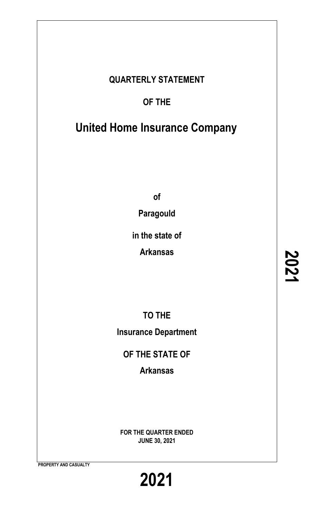## **QUARTERLY STATEMENT**

## **OF THE**

# **United Home Insurance Company**

**of**

**Paragould**

**in the state of**

**Arkansas**

**TO THE Insurance Department**

**OF THE STATE OF**

**Arkansas**

**FOR THE QUARTER ENDED JUNE 30, 2021**

**PROPERTY AND CASUALTY**

**2021**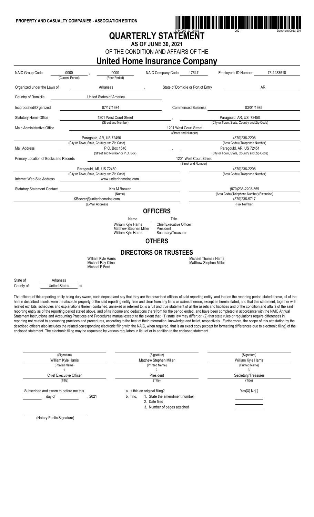

## **QUARTERLY STATEMENT**

**AS OF JUNE 30, 2021**

OF THE CONDITION AND AFFAIRS OF THE

### **United Home Insurance Company**

| NAIC Group Code                                                                                                                                                                                                                                                                                                                                                                                                                                                                                                                                                                                                                                                                                                                                                                                                                                                                                                                                                                                                                                                                                                                                                                                                                                                                                                                                                                                                                                                                                                                                            | 0000<br>(Current Period)               | 0000<br>(Prior Period)                                                 | NAIC Company Code                                                  | 17647                                                         | Employer's ID Number                            | 73-1233518 |  |  |
|------------------------------------------------------------------------------------------------------------------------------------------------------------------------------------------------------------------------------------------------------------------------------------------------------------------------------------------------------------------------------------------------------------------------------------------------------------------------------------------------------------------------------------------------------------------------------------------------------------------------------------------------------------------------------------------------------------------------------------------------------------------------------------------------------------------------------------------------------------------------------------------------------------------------------------------------------------------------------------------------------------------------------------------------------------------------------------------------------------------------------------------------------------------------------------------------------------------------------------------------------------------------------------------------------------------------------------------------------------------------------------------------------------------------------------------------------------------------------------------------------------------------------------------------------------|----------------------------------------|------------------------------------------------------------------------|--------------------------------------------------------------------|---------------------------------------------------------------|-------------------------------------------------|------------|--|--|
| Organized under the Laws of                                                                                                                                                                                                                                                                                                                                                                                                                                                                                                                                                                                                                                                                                                                                                                                                                                                                                                                                                                                                                                                                                                                                                                                                                                                                                                                                                                                                                                                                                                                                |                                        | Arkansas                                                               |                                                                    | State of Domicile or Port of Entry                            |                                                 | AR         |  |  |
| Country of Domicile                                                                                                                                                                                                                                                                                                                                                                                                                                                                                                                                                                                                                                                                                                                                                                                                                                                                                                                                                                                                                                                                                                                                                                                                                                                                                                                                                                                                                                                                                                                                        |                                        | United States of America                                               |                                                                    |                                                               |                                                 |            |  |  |
| Incorporated/Organized                                                                                                                                                                                                                                                                                                                                                                                                                                                                                                                                                                                                                                                                                                                                                                                                                                                                                                                                                                                                                                                                                                                                                                                                                                                                                                                                                                                                                                                                                                                                     |                                        | 07/17/1984                                                             |                                                                    | <b>Commenced Business</b>                                     | 03/01/1985                                      |            |  |  |
| <b>Statutory Home Office</b>                                                                                                                                                                                                                                                                                                                                                                                                                                                                                                                                                                                                                                                                                                                                                                                                                                                                                                                                                                                                                                                                                                                                                                                                                                                                                                                                                                                                                                                                                                                               |                                        | 1201 West Court Street                                                 |                                                                    |                                                               | Paragould, AR, US 72450                         |            |  |  |
|                                                                                                                                                                                                                                                                                                                                                                                                                                                                                                                                                                                                                                                                                                                                                                                                                                                                                                                                                                                                                                                                                                                                                                                                                                                                                                                                                                                                                                                                                                                                                            |                                        | (Street and Number)                                                    |                                                                    |                                                               | (City or Town, State, Country and Zip Code)     |            |  |  |
| Main Administrative Office                                                                                                                                                                                                                                                                                                                                                                                                                                                                                                                                                                                                                                                                                                                                                                                                                                                                                                                                                                                                                                                                                                                                                                                                                                                                                                                                                                                                                                                                                                                                 |                                        |                                                                        |                                                                    | 1201 West Court Street<br>(Street and Number)                 |                                                 |            |  |  |
|                                                                                                                                                                                                                                                                                                                                                                                                                                                                                                                                                                                                                                                                                                                                                                                                                                                                                                                                                                                                                                                                                                                                                                                                                                                                                                                                                                                                                                                                                                                                                            |                                        | Paragould, AR, US 72450                                                |                                                                    |                                                               | (870)236-2208                                   |            |  |  |
|                                                                                                                                                                                                                                                                                                                                                                                                                                                                                                                                                                                                                                                                                                                                                                                                                                                                                                                                                                                                                                                                                                                                                                                                                                                                                                                                                                                                                                                                                                                                                            |                                        | (City or Town, State, Country and Zip Code)                            |                                                                    |                                                               | (Area Code) (Telephone Number)                  |            |  |  |
| <b>Mail Address</b>                                                                                                                                                                                                                                                                                                                                                                                                                                                                                                                                                                                                                                                                                                                                                                                                                                                                                                                                                                                                                                                                                                                                                                                                                                                                                                                                                                                                                                                                                                                                        |                                        | P.O. Box 1546                                                          |                                                                    |                                                               | Paragould, AR, US 72451                         |            |  |  |
|                                                                                                                                                                                                                                                                                                                                                                                                                                                                                                                                                                                                                                                                                                                                                                                                                                                                                                                                                                                                                                                                                                                                                                                                                                                                                                                                                                                                                                                                                                                                                            |                                        | (Street and Number or P.O. Box)                                        |                                                                    |                                                               | (City or Town, State, Country and Zip Code)     |            |  |  |
| Primary Location of Books and Records                                                                                                                                                                                                                                                                                                                                                                                                                                                                                                                                                                                                                                                                                                                                                                                                                                                                                                                                                                                                                                                                                                                                                                                                                                                                                                                                                                                                                                                                                                                      |                                        |                                                                        |                                                                    | 1201 West Court Street                                        |                                                 |            |  |  |
|                                                                                                                                                                                                                                                                                                                                                                                                                                                                                                                                                                                                                                                                                                                                                                                                                                                                                                                                                                                                                                                                                                                                                                                                                                                                                                                                                                                                                                                                                                                                                            |                                        |                                                                        |                                                                    | (Street and Number)                                           |                                                 |            |  |  |
|                                                                                                                                                                                                                                                                                                                                                                                                                                                                                                                                                                                                                                                                                                                                                                                                                                                                                                                                                                                                                                                                                                                                                                                                                                                                                                                                                                                                                                                                                                                                                            |                                        | Paragould, AR, US 72450<br>(City or Town, State, Country and Zip Code) |                                                                    |                                                               | (870)236-2208<br>(Area Code) (Telephone Number) |            |  |  |
| Internet Web Site Address                                                                                                                                                                                                                                                                                                                                                                                                                                                                                                                                                                                                                                                                                                                                                                                                                                                                                                                                                                                                                                                                                                                                                                                                                                                                                                                                                                                                                                                                                                                                  |                                        | www.unitedhomeins.com                                                  |                                                                    |                                                               |                                                 |            |  |  |
|                                                                                                                                                                                                                                                                                                                                                                                                                                                                                                                                                                                                                                                                                                                                                                                                                                                                                                                                                                                                                                                                                                                                                                                                                                                                                                                                                                                                                                                                                                                                                            |                                        |                                                                        |                                                                    |                                                               |                                                 |            |  |  |
| <b>Statutory Statement Contact</b>                                                                                                                                                                                                                                                                                                                                                                                                                                                                                                                                                                                                                                                                                                                                                                                                                                                                                                                                                                                                                                                                                                                                                                                                                                                                                                                                                                                                                                                                                                                         |                                        | Kris M Boozer                                                          |                                                                    |                                                               | (870)236-2208-359                               |            |  |  |
|                                                                                                                                                                                                                                                                                                                                                                                                                                                                                                                                                                                                                                                                                                                                                                                                                                                                                                                                                                                                                                                                                                                                                                                                                                                                                                                                                                                                                                                                                                                                                            |                                        | (Name)                                                                 |                                                                    |                                                               | (Area Code)(Telephone Number)(Extension)        |            |  |  |
|                                                                                                                                                                                                                                                                                                                                                                                                                                                                                                                                                                                                                                                                                                                                                                                                                                                                                                                                                                                                                                                                                                                                                                                                                                                                                                                                                                                                                                                                                                                                                            |                                        | KBoozer@unitedhomeins.com                                              |                                                                    |                                                               | (870) 236-5717                                  |            |  |  |
|                                                                                                                                                                                                                                                                                                                                                                                                                                                                                                                                                                                                                                                                                                                                                                                                                                                                                                                                                                                                                                                                                                                                                                                                                                                                                                                                                                                                                                                                                                                                                            |                                        | (E-Mail Address)                                                       |                                                                    |                                                               | (Fax Number)                                    |            |  |  |
|                                                                                                                                                                                                                                                                                                                                                                                                                                                                                                                                                                                                                                                                                                                                                                                                                                                                                                                                                                                                                                                                                                                                                                                                                                                                                                                                                                                                                                                                                                                                                            |                                        |                                                                        | <b>OFFICERS</b>                                                    |                                                               |                                                 |            |  |  |
|                                                                                                                                                                                                                                                                                                                                                                                                                                                                                                                                                                                                                                                                                                                                                                                                                                                                                                                                                                                                                                                                                                                                                                                                                                                                                                                                                                                                                                                                                                                                                            |                                        | Name                                                                   | Title                                                              |                                                               |                                                 |            |  |  |
|                                                                                                                                                                                                                                                                                                                                                                                                                                                                                                                                                                                                                                                                                                                                                                                                                                                                                                                                                                                                                                                                                                                                                                                                                                                                                                                                                                                                                                                                                                                                                            |                                        | William Kyle Harris<br>Matthew Stephen Miller<br>William Kyle Harris   | <b>Chief Executive Officer</b><br>President<br>Secretary/Treasurer |                                                               |                                                 |            |  |  |
|                                                                                                                                                                                                                                                                                                                                                                                                                                                                                                                                                                                                                                                                                                                                                                                                                                                                                                                                                                                                                                                                                                                                                                                                                                                                                                                                                                                                                                                                                                                                                            |                                        |                                                                        | <b>OTHERS</b>                                                      |                                                               |                                                 |            |  |  |
|                                                                                                                                                                                                                                                                                                                                                                                                                                                                                                                                                                                                                                                                                                                                                                                                                                                                                                                                                                                                                                                                                                                                                                                                                                                                                                                                                                                                                                                                                                                                                            |                                        |                                                                        |                                                                    |                                                               |                                                 |            |  |  |
|                                                                                                                                                                                                                                                                                                                                                                                                                                                                                                                                                                                                                                                                                                                                                                                                                                                                                                                                                                                                                                                                                                                                                                                                                                                                                                                                                                                                                                                                                                                                                            |                                        |                                                                        | <b>DIRECTORS OR TRUSTEES</b>                                       |                                                               |                                                 |            |  |  |
|                                                                                                                                                                                                                                                                                                                                                                                                                                                                                                                                                                                                                                                                                                                                                                                                                                                                                                                                                                                                                                                                                                                                                                                                                                                                                                                                                                                                                                                                                                                                                            |                                        | William Kyle Harris<br>Michael Ray Cline<br>Michael P Ford             |                                                                    | <b>Michael Thomas Harris</b><br><b>Matthew Stephen Miller</b> |                                                 |            |  |  |
| State of<br>County of                                                                                                                                                                                                                                                                                                                                                                                                                                                                                                                                                                                                                                                                                                                                                                                                                                                                                                                                                                                                                                                                                                                                                                                                                                                                                                                                                                                                                                                                                                                                      | Arkansas<br><b>United States</b><br>SS |                                                                        |                                                                    |                                                               |                                                 |            |  |  |
| The officers of this reporting entity being duly sworn, each depose and say that they are the described officers of said reporting entity, and that on the reporting period stated above, all of the<br>herein described assets were the absolute property of the said reporting entity, free and clear from any liens or claims thereon, except as herein stated, and that this statement, together with<br>related exhibits, schedules and explanations therein contained, annexed or referred to, is a full and true statement of all the assets and liabilities and of the condition and affairs of the said<br>reporting entity as of the reporting period stated above, and of its income and deductions therefrom for the period ended, and have been completed in accordance with the NAIC Annual<br>Statement Instructions and Accounting Practices and Procedures manual except to the extent that: (1) state law may differ; or, (2) that state rules or regulations require differences in<br>reporting not related to accounting practices and procedures, according to the best of their information, knowledge and belief, respectively. Furthermore, the scope of this attestation by the<br>described officers also includes the related corresponding electronic filing with the NAIC, when required, that is an exact copy (except for formatting differences due to electronic filing) of the<br>enclosed statement. The electronic filing may be requested by various regulators in lieu of or in addition to the enclosed statement. |                                        |                                                                        |                                                                    |                                                               |                                                 |            |  |  |

| (Signature)                            | (Signature)                                | (Signature)         |
|----------------------------------------|--------------------------------------------|---------------------|
| William Kyle Harris                    | Matthew Stephen Miller                     | William Kyle Harris |
| (Printed Name)                         | (Printed Name)                             | (Printed Name)      |
|                                        | z.                                         |                     |
| <b>Chief Executive Officer</b>         | President                                  | Secretary/Treasurer |
| (Title)                                | (Title)                                    | (Title)             |
| Subscribed and sworn to before me this | a. Is this an original filing?             | Yes[X] No[]         |
| 2021<br>day of                         | b. If no,<br>1. State the amendment number |                     |
|                                        | 2. Date filed                              |                     |
|                                        | 3. Number of pages attached                |                     |
| (Notary Public Signature)              |                                            |                     |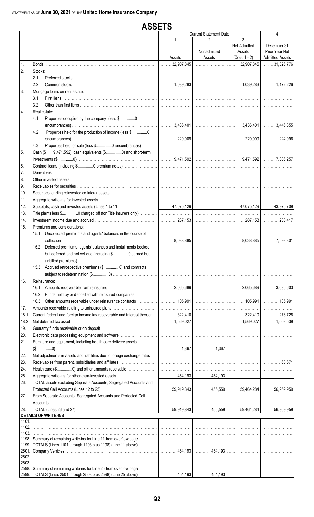|                |         | <b>ASSETS</b>                                                                                                                                                                                                                       |             |                               |                                                |                                                         |
|----------------|---------|-------------------------------------------------------------------------------------------------------------------------------------------------------------------------------------------------------------------------------------|-------------|-------------------------------|------------------------------------------------|---------------------------------------------------------|
|                |         |                                                                                                                                                                                                                                     |             | <b>Current Statement Date</b> |                                                | 4                                                       |
|                |         |                                                                                                                                                                                                                                     | 1<br>Assets | 2<br>Nonadmitted<br>Assets    | 3<br>Net Admitted<br>Assets<br>$(Cols. 1 - 2)$ | December 31<br>Prior Year Net<br><b>Admitted Assets</b> |
| 1.             |         |                                                                                                                                                                                                                                     | .32,907,845 |                               | $\ldots$ 32,907,845   $\ldots$ 31,326,776      |                                                         |
| 2.             | Stocks: |                                                                                                                                                                                                                                     |             |                               |                                                |                                                         |
|                | 2.1     |                                                                                                                                                                                                                                     |             |                               |                                                |                                                         |
|                | 2.2     |                                                                                                                                                                                                                                     |             |                               |                                                |                                                         |
| 3.             |         | Mortgage loans on real estate:                                                                                                                                                                                                      |             |                               |                                                |                                                         |
|                | 3.1     |                                                                                                                                                                                                                                     |             |                               |                                                |                                                         |
| 4.             | 3.2     | Real estate:                                                                                                                                                                                                                        |             |                               |                                                |                                                         |
|                | 4.1     | Properties occupied by the company (less \$0                                                                                                                                                                                        |             |                               |                                                |                                                         |
|                |         |                                                                                                                                                                                                                                     |             |                               |                                                |                                                         |
|                | 4.2     | Properties held for the production of income (less \$0                                                                                                                                                                              |             |                               |                                                |                                                         |
|                |         |                                                                                                                                                                                                                                     |             |                               |                                                |                                                         |
|                | 4.3     |                                                                                                                                                                                                                                     |             |                               |                                                |                                                         |
| 5.             |         | Cash (\$9,471,592), cash equivalents (\$0) and short-term                                                                                                                                                                           |             |                               |                                                |                                                         |
|                |         |                                                                                                                                                                                                                                     |             |                               |                                                |                                                         |
| 6.             |         |                                                                                                                                                                                                                                     |             |                               |                                                |                                                         |
| 7.<br>8.       |         |                                                                                                                                                                                                                                     |             |                               |                                                |                                                         |
| 9.             |         |                                                                                                                                                                                                                                     |             |                               |                                                |                                                         |
| 10.            |         |                                                                                                                                                                                                                                     |             |                               |                                                |                                                         |
| 11.            |         |                                                                                                                                                                                                                                     |             |                               |                                                |                                                         |
| 12.            |         |                                                                                                                                                                                                                                     |             |                               |                                                |                                                         |
| 13.            |         |                                                                                                                                                                                                                                     |             |                               |                                                |                                                         |
| 14.            |         |                                                                                                                                                                                                                                     |             |                               |                                                |                                                         |
| 15.            |         | Premiums and considerations:                                                                                                                                                                                                        |             |                               |                                                |                                                         |
|                | 15.1    | Uncollected premiums and agents' balances in the course of                                                                                                                                                                          |             |                               |                                                |                                                         |
|                |         | 15.2 Deferred premiums, agents' balances and installments booked                                                                                                                                                                    |             |                               |                                                |                                                         |
|                |         | but deferred and not yet due (including \$0 earned but                                                                                                                                                                              |             |                               |                                                |                                                         |
|                |         |                                                                                                                                                                                                                                     | .           |                               |                                                |                                                         |
|                |         | 15.3 Accrued retrospective premiums (\$0) and contracts                                                                                                                                                                             |             |                               |                                                |                                                         |
|                |         |                                                                                                                                                                                                                                     |             |                               |                                                |                                                         |
| 16.            |         | Reinsurance:                                                                                                                                                                                                                        |             |                               |                                                |                                                         |
|                |         |                                                                                                                                                                                                                                     |             |                               |                                                |                                                         |
|                |         |                                                                                                                                                                                                                                     |             |                               |                                                |                                                         |
|                | 16.3    |                                                                                                                                                                                                                                     |             |                               |                                                |                                                         |
| 17.            |         |                                                                                                                                                                                                                                     |             |                               |                                                |                                                         |
| 18.1<br>18.2   |         |                                                                                                                                                                                                                                     |             |                               |                                                |                                                         |
| 19.            |         |                                                                                                                                                                                                                                     |             |                               |                                                |                                                         |
| 20.            |         |                                                                                                                                                                                                                                     |             |                               |                                                |                                                         |
| 21.            |         | Furniture and equipment, including health care delivery assets                                                                                                                                                                      |             |                               |                                                |                                                         |
|                |         |                                                                                                                                                                                                                                     |             |                               |                                                |                                                         |
| 22.            |         | Net adjustments in assets and liabilities due to foreign exchange rates …… <b>with the construction of the construction</b> with the construction of the construction of the construction of the construction of the construction o |             |                               |                                                |                                                         |
| 23.            |         |                                                                                                                                                                                                                                     |             |                               |                                                |                                                         |
| 24.            |         |                                                                                                                                                                                                                                     |             |                               |                                                |                                                         |
| 25.            |         |                                                                                                                                                                                                                                     |             |                               |                                                |                                                         |
| 26.            |         | TOTAL assets excluding Separate Accounts, Segregated Accounts and                                                                                                                                                                   |             |                               |                                                |                                                         |
| 27.            |         | From Separate Accounts, Segregated Accounts and Protected Cell                                                                                                                                                                      |             |                               |                                                |                                                         |
|                |         |                                                                                                                                                                                                                                     |             |                               |                                                |                                                         |
| 28.            |         |                                                                                                                                                                                                                                     |             |                               |                                                |                                                         |
|                |         | <b>DETAILS OF WRITE-INS</b>                                                                                                                                                                                                         |             |                               |                                                |                                                         |
|                |         |                                                                                                                                                                                                                                     |             |                               |                                                |                                                         |
| 1102.<br>1103. |         |                                                                                                                                                                                                                                     |             |                               |                                                |                                                         |
|                |         |                                                                                                                                                                                                                                     |             |                               |                                                |                                                         |
|                |         |                                                                                                                                                                                                                                     |             |                               |                                                |                                                         |
|                |         |                                                                                                                                                                                                                                     |             |                               |                                                |                                                         |
| 2502.<br>2503. |         |                                                                                                                                                                                                                                     |             |                               |                                                |                                                         |
|                |         |                                                                                                                                                                                                                                     |             |                               |                                                |                                                         |
|                |         | 2599. TOTALS (Lines 2501 through 2503 plus 2598) (Line 25 above) …………………………454,193 ………………………………………………………………………                                                                                                                      |             |                               |                                                |                                                         |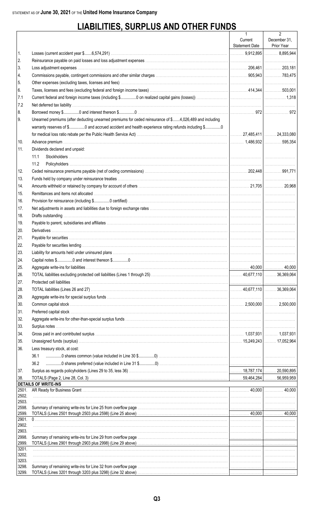## **LIABILITIES, SURPLUS AND OTHER FUNDS**

|                |                                                                                                                                       | $\mathbf{1}$          | $\overline{2}$ |
|----------------|---------------------------------------------------------------------------------------------------------------------------------------|-----------------------|----------------|
|                |                                                                                                                                       | Current               | December 31,   |
|                |                                                                                                                                       | <b>Statement Date</b> | Prior Year     |
| 1.             |                                                                                                                                       |                       |                |
| 2.             |                                                                                                                                       |                       |                |
| 3.             |                                                                                                                                       |                       |                |
| 4.             |                                                                                                                                       |                       |                |
| 5.<br>6.       | Taxes, licenses and fees (excluding federal and foreign income taxes) Matterian Materian Materian Materian 144,344   Materian 503,001 |                       |                |
| 7.1            |                                                                                                                                       |                       |                |
| 7.2            |                                                                                                                                       |                       |                |
| 8.             |                                                                                                                                       |                       |                |
|                | Unearned premiums (after deducting unearned premiums for ceded reinsurance of \$4,026,489 and including                               |                       |                |
| 9.             | warranty reserves of \$0 and accrued accident and health experience rating refunds including \$0                                      |                       |                |
|                |                                                                                                                                       |                       |                |
| 10.            |                                                                                                                                       |                       |                |
| 11.            | Dividends declared and unpaid:                                                                                                        |                       |                |
|                | 11.1                                                                                                                                  |                       |                |
|                | 11.2                                                                                                                                  |                       |                |
| 12.            |                                                                                                                                       |                       |                |
| 13.            |                                                                                                                                       |                       |                |
| 14.            |                                                                                                                                       |                       |                |
| 15.            |                                                                                                                                       |                       |                |
| 16.            |                                                                                                                                       |                       |                |
| 17.            |                                                                                                                                       |                       |                |
| 18.            |                                                                                                                                       |                       |                |
| 19.            |                                                                                                                                       |                       |                |
| 20.            |                                                                                                                                       |                       |                |
| 21.            |                                                                                                                                       |                       |                |
| 22.            |                                                                                                                                       |                       |                |
| 23.            |                                                                                                                                       |                       |                |
| 24.            |                                                                                                                                       |                       |                |
| 25.            |                                                                                                                                       |                       |                |
| 26.            |                                                                                                                                       |                       |                |
| 27.            |                                                                                                                                       |                       |                |
| 28.            |                                                                                                                                       |                       |                |
| 29.            |                                                                                                                                       |                       |                |
| 30.            |                                                                                                                                       |                       |                |
| 31.            |                                                                                                                                       |                       |                |
| 32.            |                                                                                                                                       |                       |                |
| 33.            |                                                                                                                                       |                       |                |
| 34.            |                                                                                                                                       |                       |                |
| 35.            |                                                                                                                                       |                       |                |
| 36.            | Less treasury stock, at cost:                                                                                                         |                       |                |
|                | 36.1                                                                                                                                  |                       |                |
|                | 36.2                                                                                                                                  |                       |                |
| 37.            |                                                                                                                                       |                       |                |
| 38.            |                                                                                                                                       |                       |                |
|                | <b>DETAILS OF WRITE-INS</b>                                                                                                           |                       |                |
| 2501.          |                                                                                                                                       |                       |                |
| 2502.<br>2503. |                                                                                                                                       |                       |                |
| 2598.          |                                                                                                                                       |                       |                |
| 2599.          |                                                                                                                                       |                       |                |
| 2901.          |                                                                                                                                       |                       |                |
| 2902.<br>2903. |                                                                                                                                       |                       |                |
| 2998.          |                                                                                                                                       |                       |                |
| 2999.          |                                                                                                                                       |                       |                |
| 3201.          |                                                                                                                                       |                       |                |
| 3202.<br>3203. |                                                                                                                                       |                       |                |
| 3298.          |                                                                                                                                       |                       |                |
| 3299.          |                                                                                                                                       |                       |                |
|                |                                                                                                                                       |                       |                |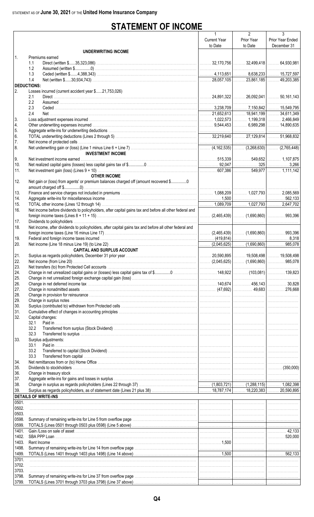## **STATEMENT OF INCOME**

|                    |                                                                                                        | 1                   | $\overline{2}$ | 3                |
|--------------------|--------------------------------------------------------------------------------------------------------|---------------------|----------------|------------------|
|                    |                                                                                                        | <b>Current Year</b> | Prior Year     | Prior Year Ended |
|                    |                                                                                                        | to Date             | to Date        | December 31      |
|                    | UNDERWRITING INCOME                                                                                    |                     |                |                  |
| $\mathbf{1}$ .     | Premiums earned                                                                                        |                     |                |                  |
|                    | 1.1<br>1.2                                                                                             |                     |                |                  |
|                    | 1.3                                                                                                    |                     |                |                  |
|                    | 1.4                                                                                                    |                     |                |                  |
| <b>DEDUCTIONS:</b> |                                                                                                        |                     |                |                  |
| 2.                 | Losses incurred (current accident year \$21,753,026)                                                   |                     |                |                  |
|                    | 2.1                                                                                                    |                     |                |                  |
|                    | 2.2                                                                                                    |                     |                |                  |
|                    | 2.3                                                                                                    |                     |                |                  |
|                    | 2.4                                                                                                    |                     |                |                  |
| 3.                 |                                                                                                        |                     |                |                  |
| 4.                 |                                                                                                        |                     |                |                  |
| 5.                 |                                                                                                        |                     |                |                  |
| 6.                 |                                                                                                        |                     |                |                  |
| 7.                 |                                                                                                        |                     |                |                  |
| 8.                 |                                                                                                        |                     |                |                  |
|                    | <b>INVESTMENT INCOME</b>                                                                               |                     |                |                  |
| 9.                 |                                                                                                        |                     |                |                  |
| 10.                |                                                                                                        |                     |                |                  |
| 11.                |                                                                                                        |                     |                |                  |
|                    | <b>OTHER INCOME</b>                                                                                    |                     |                |                  |
| 12.                | Net gain or (loss) from agents' or premium balances charged off (amount recovered \$0                  |                     |                |                  |
|                    |                                                                                                        |                     |                |                  |
| 13.                |                                                                                                        |                     |                |                  |
| 14.                |                                                                                                        |                     |                |                  |
| 15.                |                                                                                                        |                     |                |                  |
| 16.                | Net income before dividends to policyholders, after capital gains tax and before all other federal and |                     |                |                  |
|                    |                                                                                                        |                     |                |                  |
| 17.                |                                                                                                        |                     |                |                  |
| 18.                | Net income, after dividends to policyholders, after capital gains tax and before all other federal and |                     |                |                  |
| 19.                |                                                                                                        |                     |                |                  |
| 20.                |                                                                                                        |                     |                |                  |
|                    | <b>CAPITAL AND SURPLUS ACCOUNT</b>                                                                     |                     |                |                  |
| 21.                |                                                                                                        |                     |                |                  |
| 22.                |                                                                                                        |                     |                | 985 078          |
| 23.                |                                                                                                        |                     |                |                  |
| 24.                |                                                                                                        |                     |                |                  |
| 25.                |                                                                                                        |                     |                |                  |
| 26.                |                                                                                                        |                     |                |                  |
| 27.                |                                                                                                        |                     |                |                  |
| 28.                |                                                                                                        |                     |                |                  |
| 29.                |                                                                                                        |                     |                |                  |
| 30.                |                                                                                                        |                     |                |                  |
| 31.                |                                                                                                        |                     |                |                  |
| 32.                | Capital changes:                                                                                       |                     |                |                  |
|                    | 32.1                                                                                                   |                     |                |                  |
|                    | 32.2                                                                                                   |                     |                |                  |
|                    | 32.3                                                                                                   |                     |                |                  |
| 33.                | Surplus adjustments:                                                                                   |                     |                |                  |
|                    | 33.1<br>Paid in                                                                                        |                     |                |                  |
|                    | 33.2                                                                                                   |                     |                |                  |
|                    | 33.3                                                                                                   |                     |                |                  |
| 34.                |                                                                                                        |                     |                |                  |
| 35.                |                                                                                                        |                     |                |                  |
| 36.                |                                                                                                        |                     |                |                  |
| 37.                |                                                                                                        |                     |                |                  |
| 38.                |                                                                                                        |                     |                |                  |
| 39.                |                                                                                                        |                     |                |                  |
|                    | <b>DETAILS OF WRITE-INS</b>                                                                            |                     |                |                  |
| 0501.              |                                                                                                        |                     |                |                  |
| 0502.              |                                                                                                        |                     |                |                  |
| 0503.              |                                                                                                        |                     |                |                  |
| 0598.              |                                                                                                        |                     |                |                  |
| 0599.              |                                                                                                        |                     |                |                  |
| 1401.<br>1402.     |                                                                                                        |                     |                |                  |
| 1403.              |                                                                                                        |                     |                |                  |
| 1498.              |                                                                                                        |                     |                |                  |
| 1499.              |                                                                                                        |                     |                |                  |
| 3701.              |                                                                                                        |                     |                |                  |
| 3702.              |                                                                                                        |                     |                |                  |
| 3703.              |                                                                                                        |                     |                |                  |
| 3798.              |                                                                                                        |                     |                |                  |
| 3799.              |                                                                                                        |                     |                |                  |
|                    |                                                                                                        |                     |                |                  |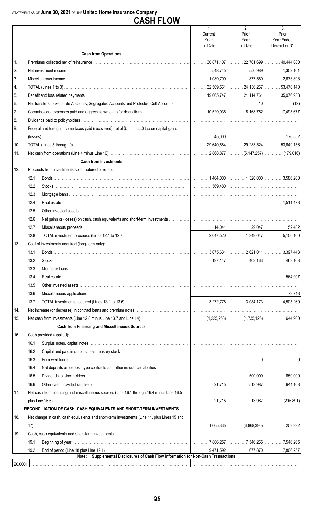|         |      | <b>CASH FLOW</b>                                                                            |                                            |                                            |                                         |
|---------|------|---------------------------------------------------------------------------------------------|--------------------------------------------|--------------------------------------------|-----------------------------------------|
|         |      |                                                                                             | $\mathbf{1}$<br>Current<br>Year<br>To Date | $\overline{2}$<br>Prior<br>Year<br>To Date | 3<br>Prior<br>Year Ended<br>December 31 |
|         |      | <b>Cash from Operations</b>                                                                 |                                            |                                            |                                         |
| 1.      |      |                                                                                             |                                            |                                            |                                         |
| 2.      |      |                                                                                             |                                            |                                            |                                         |
| 3.      |      |                                                                                             |                                            |                                            |                                         |
| 4.      |      |                                                                                             |                                            |                                            |                                         |
| 5.      |      |                                                                                             |                                            |                                            |                                         |
| 6.      |      |                                                                                             |                                            |                                            |                                         |
| 7.      |      |                                                                                             |                                            |                                            |                                         |
| 8.      |      |                                                                                             |                                            |                                            |                                         |
| 9.      |      | Federal and foreign income taxes paid (recovered) net of \$0 tax on capital gains           |                                            |                                            |                                         |
|         |      |                                                                                             |                                            |                                            |                                         |
| 10.     |      |                                                                                             |                                            |                                            |                                         |
| 11.     |      |                                                                                             |                                            |                                            |                                         |
|         |      | <b>Cash from Investments</b>                                                                |                                            |                                            |                                         |
| 12.     |      | Proceeds from investments sold, matured or repaid:                                          |                                            |                                            |                                         |
|         | 12.1 |                                                                                             |                                            |                                            |                                         |
|         | 12.2 |                                                                                             |                                            |                                            |                                         |
|         | 12.3 |                                                                                             |                                            |                                            |                                         |
|         | 12.4 |                                                                                             |                                            |                                            |                                         |
|         | 12.5 |                                                                                             |                                            |                                            |                                         |
|         | 12.6 |                                                                                             |                                            |                                            |                                         |
|         | 12.7 |                                                                                             |                                            |                                            |                                         |
|         | 12.8 |                                                                                             |                                            |                                            |                                         |
| 13.     |      | Cost of investments acquired (long-term only):                                              |                                            |                                            |                                         |
|         | 13.1 |                                                                                             |                                            |                                            |                                         |
|         | 13.2 |                                                                                             |                                            |                                            |                                         |
|         | 13.3 |                                                                                             |                                            |                                            |                                         |
|         | 13.4 |                                                                                             |                                            |                                            |                                         |
|         | 13.5 |                                                                                             |                                            |                                            |                                         |
|         | 13.6 |                                                                                             |                                            |                                            |                                         |
|         | 13.7 |                                                                                             |                                            |                                            |                                         |
| 14.     |      |                                                                                             |                                            |                                            |                                         |
| 15.     |      |                                                                                             |                                            |                                            |                                         |
|         |      | <b>Cash from Financing and Miscellaneous Sources</b>                                        |                                            |                                            |                                         |
| 16.     |      | Cash provided (applied):                                                                    |                                            |                                            |                                         |
|         | 16.1 |                                                                                             |                                            |                                            |                                         |
|         | 16.2 |                                                                                             |                                            |                                            |                                         |
|         | 16.3 |                                                                                             |                                            |                                            |                                         |
|         | 16.4 |                                                                                             |                                            |                                            |                                         |
|         | 16.5 |                                                                                             |                                            |                                            |                                         |
|         | 16.6 |                                                                                             |                                            |                                            |                                         |
| 17.     |      | Net cash from financing and miscellaneous sources (Line 16.1 through 16.4 minus Line 16.5   |                                            |                                            |                                         |
|         |      |                                                                                             |                                            |                                            |                                         |
|         |      | RECONCILIATION OF CASH, CASH EQUIVALENTS AND SHORT-TERM INVESTMENTS                         |                                            |                                            |                                         |
| 18.     |      | Net change in cash, cash equivalents and short-term investments (Line 11, plus Lines 15 and |                                            |                                            |                                         |
|         |      |                                                                                             |                                            |                                            |                                         |
| 19.     |      | Cash, cash equivalents and short-term investments:                                          |                                            |                                            |                                         |
|         | 19.1 |                                                                                             |                                            |                                            |                                         |
|         | 19.2 |                                                                                             |                                            |                                            |                                         |
|         |      | Supplemental Disclosures of Cash Flow Information for Non-Cash Transactions:<br>Note:       |                                            |                                            |                                         |
| 20.0001 |      |                                                                                             |                                            |                                            |                                         |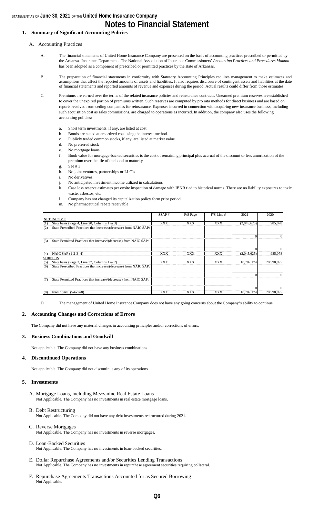### **Notes to Financial Statement**

#### **1. Summary of Significant Accounting Policies**

#### A. Accounting Practices

- A. The financial statements of United Home Insurance Company are presented on the basis of accounting practices prescribed or permitted by the Arkansas Insurance Department. The National Association of Insurance Commissioners' *Accounting Practices and Procedures Manual*  has been adopted as a component of prescribed or permitted practices by the state of Arkansas.
- B. The preparation of financial statements in conformity with Statutory Accounting Principles requires management to make estimates and assumptions that affect the reported amounts of assets and liabilities. It also requires disclosure of contingent assets and liabilities at the date of financial statements and reported amounts of revenue and expenses during the period. Actual results could differ from those estimates.
- C. Premiums are earned over the terms of the related insurance policies and reinsurance contracts. Unearned premium reserves are established to cover the unexpired portion of premiums written. Such reserves are computed by pro rata methods for direct business and are based on reports received from ceding companies for reinsurance. Expenses incurred in connection with acquiring new insurance business, including such acquisition cost as sales commissions, are charged to operations as incurred. In addition, the company also uses the following accounting policies:
	- a. Short term investments, if any, are listed at cost
	- b. Bonds are stated at amortized cost using the interest method.
	- c. Publicly traded common stocks, if any, are listed at market value
	- d. No preferred stock
	- e. No mortgage loans
	- f. Book value for mortgage-backed securities is the cost of remaining principal plus accrual of the discount or less amortization of the premium over the life of the bond to maturity
	- g. See # 3
	- h. No joint ventures, partnerships or LLC's
	- i. No derivatives
	- j. No anticipated investment income utilized in calculations
	- k. Case loss reserve estimates per onsite inspection of damage with IBNR tied to historical norms. There are no liability exposures to toxic waste, asbestos, etc.
	- l. Company has not changed its capitalization policy form prior period
	- m. No pharmaceutical rebate receivable

|     |                                                                    | SSAP#      | F/S Page   | $F/S$ Line # | 2021        | 2020       |
|-----|--------------------------------------------------------------------|------------|------------|--------------|-------------|------------|
|     | <b>NET INCOME</b>                                                  |            |            |              |             |            |
| (1) | State basis (Page 4, Line 20, Columns $1 \& 3$ )                   | XXX        | <b>XXX</b> | XXX          | (2,045,625) | 985,078    |
| (2) | State Prescribed Practices that increase/(decrease) from NAIC SAP: |            |            |              |             |            |
|     |                                                                    |            |            |              |             |            |
| (3) | State Permitted Practices that increase/(decrease) from NAIC SAP:  |            |            |              |             |            |
|     |                                                                    |            |            |              |             |            |
| (4) | NAIC SAP (1-2-3=4)                                                 | XXX        | XXX        | XXX          | (2,045,625) | 985,078    |
|     | <b>SURPLUS</b>                                                     |            |            |              |             |            |
| (5) | State basis (Page 3, Line 37, Columns $1 \& 2$ )                   | <b>XXX</b> | XXX        | <b>XXX</b>   | 18,787,174  | 20.590.895 |
| (6) | State Prescribed Practices that increase/(decrease) from NAIC SAP: |            |            |              |             |            |
|     |                                                                    |            |            |              |             |            |
| (7) | State Permitted Practices that increase/(decrease) from NAIC SAP:  |            |            |              |             |            |
|     |                                                                    |            |            |              |             |            |
| (8) | NAIC SAP $(5-6-7=8)$                                               | XXX        | XXX        | XXX          | 18.787.1741 | 20,590,895 |

D. The management of United Home Insurance Company does not have any going concerns about the Company's ability to continue.

#### **2. Accounting Changes and Corrections of Errors**

The Company did not have any material changes in accounting principles and/or corrections of errors.

#### **3. Business Combinations and Goodwill**

Not applicable. The Company did not have any business combinations.

#### **4. Discontinued Operations**

Not applicable. The Company did not discontinue any of its operations.

#### **5. Investments**

- A. Mortgage Loans, including Mezzanine Real Estate Loans Not Applicable. The Company has no investments in real estate mortgage loans.
- B. Debt Restructuring Not Applicable. The Company did not have any debt investments restructured during 2021.
- C. Reverse Mortgages
	- Not Applicable. The Company has no investments in reverse mortgages.
- D. Loan-Backed Securities Not Applicable. The Company has no investments in loan-backed securities.
- E. Dollar Repurchase Agreements and/or Securities Lending Transactions Not Applicable. The Company has no investments in repurchase agreement securities requiring collateral.
- F. Repurchase Agreements Transactions Accounted for as Secured Borrowing Not Applicable.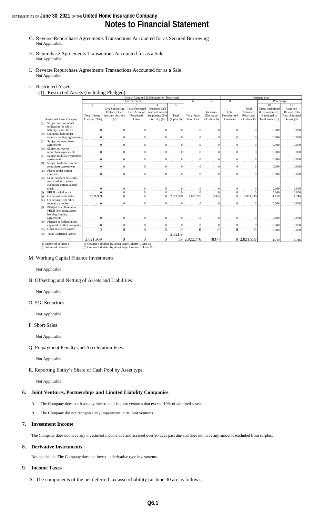## **Notes to Financial Statement**

- G. Reverse Repurchase Agreements Transactions Accounted for as Secured Borrowing Not Applicable.
- H. Repurchase Agreements Transactions Accounted for as a Sale Not Applicable.
- I. Reverse Repurchase Agreements Transactions Accounted for as a Sale Not Applicable

#### L. Restricted Assets

(1) Restricted Assets (Including Pledged)

|         |                                  | Current Year<br>Gross (Admitted & Nonadmited) Restricted |                                                       |                        |                       |                  |                   |                        |                |                        |                  |                       |
|---------|----------------------------------|----------------------------------------------------------|-------------------------------------------------------|------------------------|-----------------------|------------------|-------------------|------------------------|----------------|------------------------|------------------|-----------------------|
|         |                                  |                                                          |                                                       | Current Year           |                       |                  | 6                 | $\tau$                 | 8              | $\mathbf{Q}$           | Percentage       |                       |
|         |                                  | -1                                                       | $\overline{c}$                                        | 3                      | 4                     | 5                |                   |                        |                |                        | 10               | 11                    |
|         |                                  |                                                          | G/A Supporting                                        | <b>Total Protected</b> | Protected Cell        |                  |                   |                        |                | Total                  | Gross (Admitted  | Admitted              |
|         |                                  |                                                          | Protected Cell                                        | Cell Account           | <b>Account Assets</b> |                  |                   | Increase/              | Total          | Admitted               | & Nonadmitted)   | Restricted to         |
|         |                                  | <b>Total General</b>                                     | <b>Account Activity</b>                               | Restricted             | Supporting G/A        | Total            | <b>Total From</b> | (Decrease)             | Nonadmitted    | Restricted             | Restricted to    | <b>Total Admitted</b> |
|         | <b>Restricted Asset Category</b> | Account (G/A)                                            | (a)                                                   | Assets                 | Activity (b)          | $(1$ plus $3)$   | Prior Year        | $(5 \text{ minus } 6)$ | Restricted     | $(5 \text{ minus } 8)$ | Total Assets (c) | Assets (d)            |
| (a)     | Subject to contractual           |                                                          |                                                       |                        |                       |                  |                   |                        |                |                        |                  |                       |
|         | obligation for which             |                                                          |                                                       |                        |                       |                  |                   |                        |                |                        |                  |                       |
|         | liability is not shown           | $\mathbf{0}$                                             | $\Omega$                                              | $\Omega$               | $\Omega$              | $\mathbf{0}$     | $\mathbf{0}$      | $\Omega$               | $\Omega$       | $\Omega$               | 0.000            | 0.000                 |
| (b)     | Collateral held under            |                                                          |                                                       |                        |                       |                  |                   |                        |                |                        |                  |                       |
|         | security lending agreements      | $\Omega$                                                 | $\Omega$                                              | $\Omega$               | $\Omega$              | $\mathbf{0}$     | $\mathbf{0}$      | $\Omega$               | $\mathbf{0}$   | $\Omega$               | 0.000            | 0.000                 |
| (c)     | Subject to repurchase            |                                                          |                                                       |                        |                       |                  |                   |                        |                |                        |                  |                       |
|         | agreements                       | $\mathbf{0}$                                             | $\Omega$                                              | $\Omega$               | $\sqrt{ }$            | $\mathbf{0}$     | $\mathbf{0}$      | $\Omega$               | $\mathbf{0}$   | $\Omega$               | 0.000            | 0.000                 |
| (d)     | Subject to reverse               |                                                          |                                                       |                        |                       |                  |                   |                        |                |                        |                  |                       |
|         | repurchase agreements            | $\Omega$                                                 | $\Omega$                                              | $\Omega$               | $\sqrt{ }$            | $\boldsymbol{0}$ | $\mathbf{0}$      | $\Omega$               | $\Omega$       | $\Omega$               | 0.000            | 0.000                 |
| (e)     | Subject to dollar repurchase     |                                                          |                                                       |                        |                       |                  |                   |                        |                |                        |                  |                       |
|         | agreements                       | $\Omega$                                                 | $\Omega$                                              | $\Omega$               | $\Omega$              | $\mathbf{0}$     | $\theta$          | $\Omega$               | $\Omega$       | $\Omega$               | 0.000            | 0.000                 |
| (f)     | Subject to dollar reverse        |                                                          |                                                       |                        |                       |                  |                   |                        |                |                        |                  |                       |
|         | repurchase agreements            | $\Omega$                                                 | $\Omega$                                              | $\Omega$               | $\overline{0}$        | $\mathbf{0}$     | $\overline{0}$    | $\Omega$               | $\mathbf{0}$   | $\mathbf{0}$           | 0.000            | 0.000                 |
|         | (g) Placed under option          |                                                          |                                                       |                        |                       |                  |                   |                        |                |                        |                  |                       |
|         | contracts                        | $\Omega$                                                 | $\theta$                                              | $\Omega$               | $\Omega$              | $\Omega$         | $\theta$          | $\Omega$               | $\Omega$       | $\Omega$               | 0.000            | 0.000                 |
| (h)     | Letter stock or securities       |                                                          |                                                       |                        |                       |                  |                   |                        |                |                        |                  |                       |
|         | restricted as to sale -          |                                                          |                                                       |                        |                       |                  |                   |                        |                |                        |                  |                       |
|         | excluding FHLB capital           |                                                          |                                                       |                        |                       |                  |                   |                        |                |                        |                  |                       |
|         | stock                            | $\sqrt{ }$                                               | $\Omega$                                              | $\Omega$               | $\Omega$              | $\mathbf{0}$     | $\mathbf{0}$      | $\Omega$               | $\mathbf{0}$   |                        | 0.000            | 0.000                 |
| (i)     | FHLB capital stock               | $\Omega$                                                 | $\Omega$                                              | $\Omega$               | $\Omega$              | $\Omega$         | $\theta$          | $\Omega$               | $\overline{0}$ |                        | 0.000            | 0.000                 |
| (j)     | On deposit with states           | 2,821,939                                                | $\theta$                                              | $\Omega$               | $\theta$              | 2,821,939        | 2,822,776         | (837)                  | $\overline{0}$ | 2,821,939              | 4.710            | 4.746                 |
| (k)     | On deposit with other            |                                                          |                                                       |                        |                       |                  |                   |                        |                |                        |                  |                       |
|         | regulatory bodies                | $\mathbf{0}$                                             | $\Omega$                                              | $\Omega$               | $\Omega$              | $\mathbf{0}$     | $\mathbf{0}$      | $\Omega$               | $\mathbf{0}$   | $\Omega$               | 0.000            | 0.000                 |
| (1)     | Pledged as collateral to         |                                                          |                                                       |                        |                       |                  |                   |                        |                |                        |                  |                       |
|         | FHLB (including assets           |                                                          |                                                       |                        |                       |                  |                   |                        |                |                        |                  |                       |
|         | backing funding                  |                                                          |                                                       |                        |                       |                  |                   |                        |                |                        |                  |                       |
|         | agreements)                      | $\Omega$                                                 | $\Omega$                                              | $\Omega$               | $\Omega$              | $\mathbf{0}$     | $\mathbf{0}$      | $\Omega$               | $\mathbf{0}$   | $\Omega$               | 0.000            | 0.000                 |
|         | (m) Pledged as collateral not    |                                                          |                                                       |                        |                       |                  |                   |                        |                |                        |                  |                       |
|         | captured in other categories     | $\Omega$                                                 | $\Omega$                                              | $\Omega$               | $\sqrt{ }$            | $\mathbf{0}$     | $\Omega$          | $\Omega$               | $\mathbf{0}$   | $\Omega$               | 0.000            | 0.000                 |
| (n)     | Other restricted assets          | $\Omega$                                                 | $\theta$                                              | $\Omega$               | $\Omega$              | $\overline{0}$   | $\theta$          | $\theta$               | $\theta$       | 0                      | 0.000            | 0.000                 |
| $\circ$ | <b>Total Restricted Assets</b>   |                                                          |                                                       |                        |                       | 2,821,9          |                   |                        |                |                        |                  |                       |
|         |                                  | 2.821.939                                                | $\Omega$                                              |                        | $\Omega$              |                  | 39 2.822,776      | (837)                  |                | 0 2.821.939            | 4.710            | 4.746                 |
|         | (a) Subset of column 1           |                                                          | (c) Column 5 divided by Asset Page Column 1, Line 28  |                        |                       |                  |                   |                        |                |                        |                  |                       |
|         | (b) Subset of column 3           |                                                          | (d) Column 9 divided by Asset Page, Column 3, Line 28 |                        |                       |                  |                   |                        |                |                        |                  |                       |
|         |                                  |                                                          |                                                       |                        |                       |                  |                   |                        |                |                        |                  |                       |

M. Working Capital Finance Investments

Not Applicable

#### N. Offsetting and Netting of Assets and Liabilities

Not Applicable

#### O. 5GI Securities

Not Applicable

#### P. Short Sales

Not Applicable

#### Q. Prepayment Penalty and Acceleration Fees

Not Applicable

R. Reporting Entity's Share of Cash Pool by Asset type.

Not Applicable

#### **6. Joint Ventures, Partnerships and Limited Liability Companies**

- A. The Company does not have any investments in joint ventures that exceed 10% of admitted assets.
- B. The Company did not recognize any impairment in its joint ventures.

#### **7. Investment Income**

The Company does not have any investment income due and accrued over 90 days past due and does not have any amounts excluded from surplus.

#### **8. Derivative Instruments**

Not applicable. The Company does not invest in derivative type investments.

#### **9. Income Taxes**

A. The components of the net deferred tax asset/(liability) at June 30 are as follows: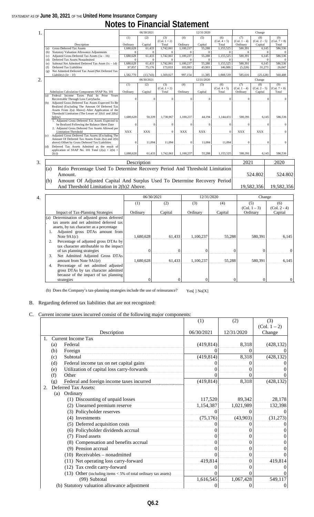## **Notes to Financial Statement**

| 1. |                                                                                 |                                                                             |                 | 06/30/2021        |                                |                 | 12/31/2020     |                                |                                   | Change                           |                                |  |
|----|---------------------------------------------------------------------------------|-----------------------------------------------------------------------------|-----------------|-------------------|--------------------------------|-----------------|----------------|--------------------------------|-----------------------------------|----------------------------------|--------------------------------|--|
|    |                                                                                 | Description                                                                 | (1)<br>Ordinary | (2)               | (3)<br>$(Col. 1 + 2)$<br>Total | (4)<br>Ordinary | (5)<br>Capital | (6)<br>$(Col. 4 + 5)$<br>Total | (7)<br>$(Col. 1 - 4)$<br>Ordinary | (8)<br>$(Col. 2 - 5)$<br>Capital | (9)<br>$(Col. 7 + 8)$<br>Total |  |
|    | (a)                                                                             | Gross Deferred Tax Assets                                                   | 1,680,628       | Capital<br>61,433 | 1,742,061                      | 1,100,237       | 55,288         | 1,155,525                      | 580,391                           | 6,145                            | 586,536                        |  |
|    | (b)                                                                             | Statutory Valuation Allowance Adjustments                                   | $\mathbf{0}$    | $\Omega$          | $\Omega$                       | $\mathbf{0}$    | $\mathbf{0}$   | $\mathbf{0}$                   | $\Omega$                          | $\Omega$                         | $\Omega$                       |  |
|    | (c)                                                                             | Adjusted Gross Deferred Tax Assets $(1a - 1b)$                              | 1,680,628       | 61,433            | 1,742,061                      | 1,100,237       | 55,288         | 1,155,525                      | 580,391                           | 6,145                            | 586,536                        |  |
|    | (d)                                                                             | Deferred Tax Assets Nonadmitted                                             | $\mathbf{0}$    | $\mathbf{0}$      | $\mathbf{0}$                   | $\mathbf{0}$    | $\mathbf{0}$   | $\Omega$                       | $\Omega$                          | $\mathbf{0}$                     | $\Omega$                       |  |
|    | (e)                                                                             | Subtotal Net Admitted Deferred Tax Asset (1c - 1d)                          | 1,680,628       | 61,433            | 1,742,061                      | 1,100,237       | 55,288         | 1,155,525                      | 580,391                           | 6,145                            | 586,536                        |  |
|    | (f)                                                                             | Deferred Tax Liabilities                                                    | 97,857          | 75,176            | 173,033                        | 103,083         | 43,903         | 146,986                        | (5,226)                           | 31,273                           | 26,047                         |  |
|    | (g)                                                                             | Net Admitted Deferred Tax Asset/(Net Deferred Tax                           |                 |                   |                                |                 |                |                                |                                   |                                  |                                |  |
|    |                                                                                 | Liability) $(1e - 1f)$                                                      | 1,582,770       | (13,743)          | 1,569,027                      | 997,154         | 11,385         | 1,008,539                      | 585,616                           | (25, 128)                        | 560,488                        |  |
| 2. |                                                                                 |                                                                             |                 | 06/30/2021        |                                |                 | 12/31/2020     |                                |                                   | Change                           |                                |  |
|    |                                                                                 |                                                                             |                 |                   |                                |                 |                |                                |                                   |                                  |                                |  |
|    |                                                                                 |                                                                             | (1)             | (2)               | (3)<br>$(Col. 1 + 2)$          | (4)             | (5)            | (6)<br>$(Col. 4 + 5)$          | (7)<br>$(Col. 1 - 4)$             | (8)<br>$(Col. 2 - 5)$            | (9)<br>$(Col. 7 + 8)$          |  |
|    |                                                                                 | Admission Calculation Components SSAP No. 101                               | Ordinary        | Capital           | Total                          | Ordinary        | Capital        | Total                          | Ordinary                          | Capital                          | Total                          |  |
|    | (a)                                                                             | Federal Income Taxes Paid In Prior Years                                    |                 |                   |                                |                 |                |                                |                                   |                                  |                                |  |
|    |                                                                                 | Recoverable Through Loss Carrybacks                                         | $\Omega$        | $\mathbf{0}$      | $\Omega$                       | $\Omega$        | $\mathbf{0}$   | $\theta$                       | $\mathbf{0}$                      |                                  | $\Omega$<br>$\Omega$           |  |
|    | (b)                                                                             | Adjusted Gross Deferred Tax Assets Expected To Be                           |                 |                   |                                |                 |                |                                |                                   |                                  |                                |  |
|    |                                                                                 | Realized (Excluding The Amount Of Deferred Tax                              |                 |                   |                                |                 |                |                                |                                   |                                  |                                |  |
|    |                                                                                 | Assets From 2(a) Above) After Application of the                            |                 |                   |                                |                 |                |                                |                                   |                                  |                                |  |
|    |                                                                                 | Threshold Limitation (The Lesser of 2(b)1 and 2(b)2                         |                 |                   |                                |                 |                |                                |                                   |                                  |                                |  |
|    |                                                                                 | below)                                                                      | 1.680.628       | 50,339            | 1,730,967                      | 1,100,237       | 44,194         | 1,144,431                      | 580,391                           | 6,145                            | 586,536                        |  |
|    |                                                                                 | 1. Adjusted Gross Deferred Tax Assets Expected to                           |                 |                   |                                |                 |                |                                |                                   |                                  |                                |  |
|    |                                                                                 | be Realized Following the Balance Sheet Date                                | $\Omega$        | $\mathbf{0}$      | $\mathbf{0}$                   | $\Omega$        | $\theta$       | $\mathbf{0}$                   | $\mathbf{0}$                      |                                  | $\Omega$<br>$\mathbf{0}$       |  |
|    |                                                                                 | 2. Adjusted Gross Deferred Tax Assets Allowed per                           |                 |                   |                                |                 |                |                                |                                   |                                  |                                |  |
|    |                                                                                 | <b>Limitation Threshold</b>                                                 | <b>XXX</b>      | <b>XXX</b>        | $\Omega$                       | <b>XXX</b>      | <b>XXX</b>     | $\theta$                       | <b>XXX</b>                        | <b>XXX</b>                       | $\Omega$                       |  |
|    | (c)                                                                             | Adjusted Gross Deferred Tax Assets (Excluding The                           |                 |                   |                                |                 |                |                                |                                   |                                  |                                |  |
|    |                                                                                 | Amount Of Deferred Tax Assets From 2(a) and 2(b)                            |                 |                   |                                |                 |                |                                |                                   |                                  |                                |  |
|    |                                                                                 | above) Offset by Gross Deferred Tax Liabilities                             | $\mathbf{0}$    | 11,094            | 11,094                         | $\Omega$        | 11,094         | 11,094                         | $\mathbf{0}$                      |                                  | $\Omega$<br>$\sqrt{ }$         |  |
|    | (d)                                                                             | Deferred Tax Assets Admitted as the result of                               |                 |                   |                                |                 |                |                                |                                   |                                  |                                |  |
|    |                                                                                 | application of SSAP No. 101 Total $(2(a) + 2(b) +$                          |                 |                   |                                |                 |                |                                |                                   |                                  |                                |  |
|    |                                                                                 | 2(c)                                                                        | 1.680.628       | 61.433            | 1,742,061                      | 1,100,237       | 55,288         | 1,155,525                      | 580.391                           | 6.145                            | 586,536                        |  |
| 3. |                                                                                 |                                                                             |                 | Description       |                                |                 |                |                                | 2021                              |                                  | 2020                           |  |
|    | (a)                                                                             | Ratio Percentage Used To Determine Recovery Period And Threshold Limitation |                 |                   |                                |                 |                |                                |                                   |                                  |                                |  |
|    |                                                                                 |                                                                             |                 |                   |                                |                 |                |                                |                                   |                                  |                                |  |
|    |                                                                                 | Amount.                                                                     |                 |                   |                                |                 |                |                                |                                   | 524.802                          | 524.802                        |  |
|    |                                                                                 |                                                                             |                 |                   |                                |                 |                |                                |                                   |                                  |                                |  |
|    | Amount Of Adjusted Capital And Surplus Used To Determine Recovery Period<br>(b) |                                                                             |                 |                   |                                |                 |                |                                |                                   |                                  |                                |  |
|    | And Threshold Limitation in 2(b)2 Above.                                        |                                                                             |                 |                   |                                |                 |                |                                | 19,582,356                        | 19,582,356                       |                                |  |
|    |                                                                                 |                                                                             |                 |                   |                                |                 |                |                                |                                   |                                  |                                |  |
| 4. |                                                                                 |                                                                             |                 | 06/30/2021        |                                |                 | 12/31/2020     |                                |                                   | Change                           |                                |  |
|    |                                                                                 |                                                                             |                 |                   |                                |                 |                |                                |                                   |                                  |                                |  |
|    |                                                                                 |                                                                             | (1)             |                   | (2)                            |                 | (3)            | (4)                            |                                   | (5)                              | (6)                            |  |
|    |                                                                                 |                                                                             |                 |                   |                                |                 |                |                                |                                   | $(C_01 \ 1 - 3)$                 | $(C_01 \ 2 - 4)$               |  |

|     |                                          |           | 00/30/2021 | 1 <i>4</i> /21/4040 |         | Change         |                |
|-----|------------------------------------------|-----------|------------|---------------------|---------|----------------|----------------|
|     |                                          | (1)       | (2)        | (3)                 | (4)     | (5)            | (6)            |
|     |                                          |           |            |                     |         | $(Col. 1 - 3)$ | $(Col. 2 - 4)$ |
|     | <b>Impact of Tax-Planning Strategies</b> | Ordinary  | Capital    | Ordinary            | Capital | Ordinary       | Capital        |
| (a) | Determination of adjusted gross deferred |           |            |                     |         |                |                |
|     | tax assets and net admitted deferred tax |           |            |                     |         |                |                |
|     | assets, by tax character as a percentage |           |            |                     |         |                |                |
|     | Adjusted gross DTAs amount from          |           |            |                     |         |                |                |
|     | Note $9A1(c)$                            | 1,680,628 | 61,433     | 1,100,237           | 55,288  | 580,391        | 6,145          |
|     | Percentage of adjusted gross DTAs by     |           |            |                     |         |                |                |
|     | tax character attributable to the impact |           |            |                     |         |                |                |
|     | of tax planning strategies               |           |            |                     |         | $\theta$       | 0              |
| 3.  | Net Admitted Adjusted Gross DTAs         |           |            |                     |         |                |                |
|     | amount from Note 9A1(e)                  | 1,680,628 | 61,433     | 1,100,237           | 55,288  | 580,391        | 6,145          |
| 4.  | Percentage of net admitted adjusted      |           |            |                     |         |                |                |
|     | gross DTAs by tax character admitted     |           |            |                     |         |                |                |
|     | because of the impact of tax planning    |           |            |                     |         |                |                |
|     | strategies                               | 0         |            |                     |         | $\Omega$       | $\overline{0}$ |

(b) Does the Company's tax-planning strategies include the use of reinsurance? Yes[ ] No[X]

#### B. Regarding deferred tax liabilities that are not recognized:

#### C. Current income taxes incurred consist of the following major components:

|    |     |                                                                  | (1)        | (2)        | (3)              |
|----|-----|------------------------------------------------------------------|------------|------------|------------------|
|    |     |                                                                  |            |            | (Col. 1 – 2)     |
|    |     | Description                                                      | 06/30/2021 | 12/31/2020 | Change           |
| 1. |     | Current Income Tax                                               |            |            |                  |
|    | (a) | Federal                                                          | (419, 814) | 8,318      | (428, 132)       |
|    | (b) | Foreign                                                          |            |            |                  |
|    | (c) | Subtotal                                                         | (419, 814) | 8,318      | (428, 132)       |
|    | (d) | Federal income tax on net capital gains                          |            |            |                  |
|    | (e) | Utilization of capital loss carry-forwards                       |            |            | 0                |
|    | (f) | Other                                                            |            |            | $\Omega$         |
|    | (g) | Federal and foreign income taxes incurred                        | (419, 814) | 8,318      | (428, 132)       |
| 2. |     | Deferred Tax Assets:                                             |            |            |                  |
|    | (a) | Ordinary                                                         |            |            |                  |
|    |     | (1) Discounting of unpaid losses                                 | 117,520    | 89,342     | 28,178           |
|    |     | (2) Unearned premium reserve                                     | 1,154,387  | 1,021,989  | 132,398          |
|    |     | (3) Policyholder reserves                                        |            |            | $\Omega$         |
|    |     | (4) Investments                                                  | (75, 176)  | (43,903)   | (31,273)         |
|    |     | (5) Deferred acquisition costs                                   |            |            | 0                |
|    |     | (6) Policyholder dividends accrual                               |            |            | 0                |
|    |     | (7) Fixed assets                                                 |            | 0          | 0                |
|    |     | (8) Compensation and benefits accrual                            |            | 0          | 0                |
|    |     | (9) Pension accrual                                              |            | 0          | $\theta$         |
|    |     | $(10)$ Receivables – nonadmitted                                 |            | $\Omega$   | $\Omega$         |
|    |     | (11) Net operating loss carry-forward                            | 419,814    | $\Omega$   | 419,814          |
|    |     | (12) Tax credit carry-forward                                    |            | 0          | $\boldsymbol{0}$ |
|    |     | (13) Other (including items $<$ 5% of total ordinary tax assets) |            | 0          | $\mathbf{0}$     |
|    |     | (99) Subtotal                                                    | 1,616,545  | 1,067,428  | 549,117          |
|    |     | (b) Statutory valuation allowance adjustment                     | $\theta$   | 0          | 0                |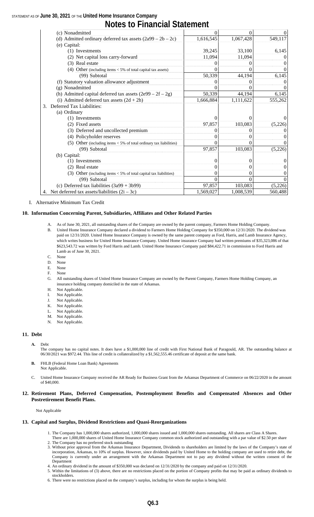## **Notes to Financial Statement**

| (c) Nonadmitted                                                      | 0         | 0         | $\overline{0}$ |
|----------------------------------------------------------------------|-----------|-----------|----------------|
| (d) Admitted ordinary deferred tax assets $(2a99 – 2b – 2c)$         | 1,616,545 | 1,067,428 | 549,117        |
| (e) Capital:                                                         |           |           |                |
| (1) Investments                                                      | 39,245    | 33,100    | 6,145          |
| (2) Net capital loss carry-forward                                   | 11,094    | 11,094    | $\theta$       |
| (3) Real estate                                                      |           |           | $^{(1)}$       |
| (4) Other (including items $< 5\%$ of total capital tax assets)      |           |           | 0              |
| (99) Subtotal                                                        | 50,339    | 44,194    | 6,145          |
| (f) Statutory valuation allowance adjustment                         |           |           | $\overline{0}$ |
| (g) Nonadmitted                                                      |           |           | $\theta$       |
| (h) Admitted capital deferred tax assets $(2e99 – 2f – 2g)$          | 50,339    | 44,194    | 6,145          |
| (i) Admitted deferred tax assets $(2d + 2h)$                         | 1,666,884 | 1,111,622 | 555,262        |
| Deferred Tax Liabilities:<br>3.                                      |           |           |                |
| (a) Ordinary                                                         |           |           |                |
| (1) Investments                                                      |           |           | $\Omega$       |
| (2) Fixed assets                                                     | 97,857    | 103,083   | (5,226)        |
| (3) Deferred and uncollected premium                                 |           |           | 0              |
| (4) Policyholder reserves                                            |           |           | $\mathbf{0}$   |
| (5) Other (including items $<$ 5% of total ordinary tax liabilities) | $\Omega$  | 0         | $\Omega$       |
| (99) Subtotal                                                        | 97,857    | 103,083   | (5,226)        |
| (b) Capital:                                                         |           |           |                |
| (1) Investments                                                      | $^{(1)}$  | 0         | $\mathbf{0}$   |
| (2) Real estate                                                      |           | $\Omega$  | $\overline{0}$ |
| (3) Other (including items $<$ 5% of total capital tax liabilities)  |           | 0         | 0              |
| (99) Subtotal                                                        |           |           | $\Omega$       |
| (c) Deferred tax liabilities $(3a99 + 3b99)$                         | 97,857    | 103,083   | (5,226)        |
| 4. Net deferred tax assets/liabilities $(2i - 3c)$                   | 1,569,027 | 1,008,539 | 560,488        |

I. Alternative Minimum Tax Credit

#### **10. Information Concerning Parent, Subsidiaries, Affiliates and Other Related Parties**

- A. As of June 30, 2021, all outstanding shares of the Company are owned by the parent company, Farmers Home Holding Company.
	- B. United Home Insurance Company declared a dividend to Farmers Home Holding Company for \$350,000 on 12/31/2020. The dividend was paid on 12/31/2020. United Home Insurance Company is owned by the same parent company as Ford, Harris, and Lamb Insurance Agency, which writes business for United Home Insurance Company. United Home insurance Company had written premiums of \$35,323,086 of that \$623,543.72 was written by Ford Harris and Lamb. United Home Insurance Company paid \$84,422.71 in commission to Ford Harris and Lamb as of June 30, 2021.
	- C. None
	- D. None
	- E. None F. None
	- G. All outstanding shares of United Home Insurance Company are owned by the Parent Company, Farmers Home Holding Company, an insurance holding company domiciled in the state of Arkansas.
	- H. Not Applicable.
	- I. Not Applicable.
	- J. Not Applicable.
	- K. Not Applicable.
	- L. Not Applicable.
	- M. Not Applicable.
	- N. Not Applicable.

#### **11. Debt**

**A.** Debt

The company has no capital notes. It does have a \$1,000,000 line of credit with First National Bank of Paragould, AR. The outstanding balance at 06/30/2021 was \$972.44. This line of credit is collateralized by a \$1,562,555.46 certificate of deposit at the same bank.

- **B.** FHLB (Federal Home Loan Bank) Agreements Not Applicable.
- C. United Home Insurance Company received the AR Ready for Business Grant from the Arkansas Department of Commerce on 06/22/2020 in the amount of \$40,000.

#### **12. Retirement Plans, Deferred Compensation, Postemployment Benefits and Compensated Absences and Other Postretirement Benefit Plans.**

Not Applicable

#### **13. Capital and Surplus, Dividend Restrictions and Quasi-Reorganizations**

- 1. The Company has 1,000,000 shares authorized, 1,000,000 shares issued and 1,000,000 shares outstanding. All shares are Class A Shares.
- There are 1,000,000 shares of United Home Insurance Company common stock authorized and outstanding with a par value of \$2.50 per share The Company has no preferred stock outstanding
- 3. Without prior approval from the Arkansas Insurance Department, Dividends to shareholders are limited by the laws of the Company's state of incorporation, Arkansas, to 10% of surplus. However, since dividends paid by United Home to the holding company are used to retire debt, the Company is currently under an arrangement with the Arkansas Department not to pay any dividend without the written consent of the Department
- 4. An ordinary dividend in the amount of \$350,000 was declared on 12/31/2020 by the company and paid on 12/31/2020.
- 5. Within the limitations of (3) above, there are no restrictions placed on the portion of Company profits that may be paid as ordinary dividends to stockholders.
- 6. There were no restrictions placed on the company's surplus, including for whom the surplus is being held.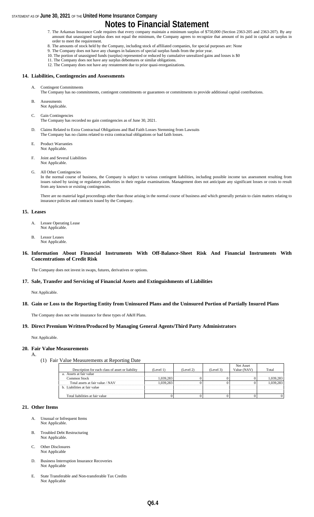## **Notes to Financial Statement**

- 7. The Arkansas Insurance Code requires that every company maintain a minimum surplus of \$750,000 (Section 2363-205 and 2363-207). By any amount that unassigned surplus does not equal the minimum, the Company agrees to recognize that amount of its paid in capital as surplus in order to meet the requirement.
- 8. The amounts of stock held by the Company, including stock of affiliated companies, for special purposes are: None
- 9. The Company does not have any changes in balances of special surplus funds from the prior year.
- 10. The portion of unassigned funds (surplus) represented or reduced by cumulative unrealized gains and losses is \$0
- 11. The Company does not have any surplus debentures or similar obligations. 12. The Company does not have any restatement due to prior quasi-reorganizations.

### **14. Liabilities, Contingencies and Assessments**

- **Contingent Commitments**
- The Company has no commitments, contingent commitments or guarantees or commitments to provide additional capital contributions.
- B. Assessments Not Applicable.
- C. Gain Contingencies

The Company has recorded no gain contingencies as of June 30, 2021.

- D. Claims Related to Extra Contractual Obligations and Bad Faith Losses Stemming from Lawsuits The Company has no claims related to extra contractual obligations or bad faith losses.
- E. Product Warranties Not Applicable.
- F. Joint and Several Liabilities Not Applicable.
- G. All Other Contingencies

In the normal course of business, the Company is subject to various contingent liabilities, including possible income tax assessment resulting from issues raised by taxing or regulatory authorities in their regular examinations. Management does not anticipate any significant losses or costs to result from any known or existing contingencies.

There are no material legal proceedings other than those arising in the normal course of business and which generally pertain to claim matters relating to insurance policies and contracts issued by the Company.

#### **15. Leases**

- A. Lessee Operating Lease Not Applicable.
- B. Lessor Leases Not Applicable.

#### **16. Information About Financial Instruments With Off-Balance-Sheet Risk And Financial Instruments With Concentrations of Credit Risk**

The Company does not invest in swaps, futures, derivatives or options.

#### **17. Sale, Transfer and Servicing of Financial Assets and Extinguishments of Liabilities**

Not Applicable.

**18. Gain or Loss to the Reporting Entity from Uninsured Plans and the Uninsured Portion of Partially Insured Plans**

The Company does not write insurance for these types of A&H Plans.

#### **19. Direct Premium Written/Produced by Managing General Agents/Third Party Administrators**

Not Applicable.

#### **20. Fair Value Measurements**

- A.
	- (1) Fair Value Measurements at Reporting Date

|                                                  |           |           |           | Net Asset   |       |
|--------------------------------------------------|-----------|-----------|-----------|-------------|-------|
| Description for each class of asset or liability | (Level 1) | (Level 2) | (Level 3) | Value (NAV) | Total |
| a. Assets at fair value                          |           |           |           |             |       |
| Common Stock                                     | 039 283   |           |           |             |       |
| Total assets at fair value / NAV                 |           |           |           |             |       |
| b. Liabilities at fair value                     |           |           |           |             |       |
|                                                  |           |           |           |             |       |
| Total liabilities at fair value                  |           |           |           |             |       |

#### **21. Other Items**

- A. Unusual or Infrequent Items Not Applicable.
- B. Troubled Debt Restructuring Not Applicable.
- C. Other Disclosures Not Applicable
- D. Business Interruption Insurance Recoveries Not Applicable
- E. State Transferable and Non-transferable Tax Credits Not Applicable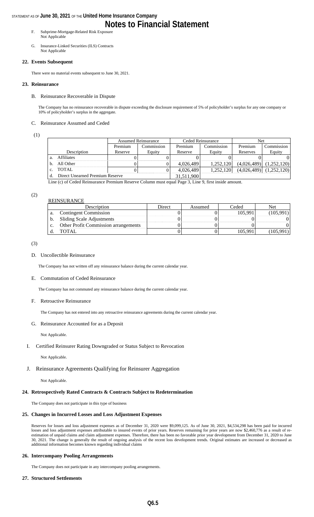### **Notes to Financial Statement**

- F. Subprime-Mortgage-Related Risk Exposure Not Applicable
- G. Insurance-Linked Securities (ILS) Contracts Not Applicable

#### **22. Events Subsequent**

There were no material events subsequent to June 30, 2021.

#### **23. Reinsurance**

#### B. Reinsurance Recoverable in Dispute

The Company has no reinsurance recoverable in dispute exceeding the disclosure requirement of 5% of policyholder's surplus for any one company or 10% of policyholder's surplus in the aggregate.

#### C. Reinsurance Assumed and Ceded

(1)

|    |                                 |         | <b>Assumed Reinsurance</b> |            | Ceded Reinsurance | Net         |                             |
|----|---------------------------------|---------|----------------------------|------------|-------------------|-------------|-----------------------------|
|    |                                 | Premium | Commission                 | Premium    | Commission        | Premium     | Commission                  |
|    | Description                     | Reserve | Equity                     | Reserve    | Equity            | Reserves    | Equity                      |
|    | <b>Affiliates</b>               |         |                            |            |                   |             |                             |
| b. | All Other                       |         |                            | 4,026,489  | 1.252.120         | (4,026,489) | (1.252.120)                 |
| c. | TOTAL                           |         |                            | 4,026,489  | 1.252.120         |             | $(4,026,489)$ $(1,252,120)$ |
|    | Direct Unearned Premium Reserve |         |                            | 31,511,900 |                   |             |                             |

Line (c) of Ceded Reinsurance Premium Reserve Column must equal Page 3, Line 9, first inside amount.

#### (2)

|    | <b>REINSURANCE</b>                          |        |         |         |         |
|----|---------------------------------------------|--------|---------|---------|---------|
|    | Description                                 | Direct | Assumed | Ceded   | Net     |
| a. | <b>Contingent Commission</b>                |        |         | 105.991 | 105,991 |
| b. | <b>Sliding Scale Adjustments</b>            |        |         |         |         |
| c. | <b>Other Profit Commission arrangements</b> |        |         |         |         |
|    | TOTAL.                                      |        |         | 105.991 |         |

(3)

#### D. Uncollectible Reinsurance

The Company has not written off any reinsurance balance during the current calendar year.

#### E. Commutation of Ceded Reinsurance

The Company has not commuted any reinsurance balance during the current calendar year.

#### F. Retroactive Reinsurance

The Company has not entered into any retroactive reinsurance agreements during the current calendar year.

#### G. Reinsurance Accounted for as a Deposit

Not Applicable.

#### I. Certified Reinsurer Rating Downgraded or Status Subject to Revocation

Not Applicable.

#### J. Reinsurance Agreements Qualifying for Reinsurer Aggregation

Not Applicable.

#### **24. Retrospectively Rated Contracts & Contracts Subject to Redetermination**

The Company does not participate in this type of business

#### **25. Changes in Incurred Losses and Loss Adjustment Expenses**

Reserves for losses and loss adjustment expenses as of December 31, 2020 were \$9,099,125. As of June 30, 2021, \$4,534,298 has been paid for incurred losses and loss adjustment expenses attributable to insured events of prior years. Reserves remaining for prior years are now \$2,460,776 as a result of reestimation of unpaid claims and claim adjustment expenses. Therefore, there has been no favorable prior year development from December 31, 2020 to June 30, 2021. The change is generally the result of ongoing analysis of the recent loss development trends. Original estimates are increased or decreased as additional information becomes known regarding individual claims

#### **26. Intercompany Pooling Arrangements**

The Company does not participate in any intercompany pooling arrangements.

#### **27. Structured Settlements**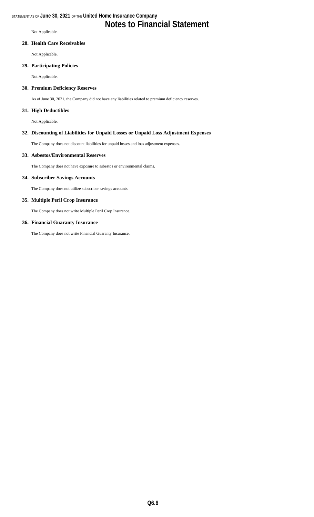### **Notes to Financial Statement**

Not Applicable.

#### **28. Health Care Receivables**

Not Applicable.

#### **29. Participating Policies**

Not Applicable.

#### **30. Premium Deficiency Reserves**

As of June 30, 2021, the Company did not have any liabilities related to premium deficiency reserves.

#### **31. High Deductibles**

Not Applicable.

#### **32. Discounting of Liabilities for Unpaid Losses or Unpaid Loss Adjustment Expenses**

The Company does not discount liabilities for unpaid losses and loss adjustment expenses.

#### **33. Asbestos/Environmental Reserves**

The Company does not have exposure to asbestos or environmental claims.

#### **34. Subscriber Savings Accounts**

The Company does not utilize subscriber savings accounts.

#### **35. Multiple Peril Crop Insurance**

The Company does not write Multiple Peril Crop Insurance.

#### **36. Financial Guaranty Insurance**

The Company does not write Financial Guaranty Insurance.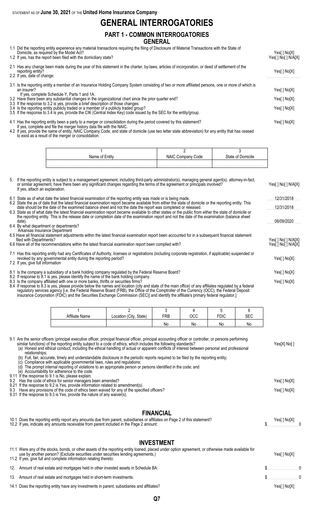### **GENERAL INTERROGATORIES**

#### **PART 1 - COMMON INTERROGATORIES GENERAL**

1.1 Did the reporting entity experience any material transactions requiring the filing of Disclosure of Material Transactions with the State of

| Domicile, as required by the Model Act?<br>1.2 If yes, has the report been filed with the domiciliary state?                                                                                                                                                                                                                                                                                                                                                                                                                                                                                                               | Yes[] No[X]<br>Yes[ ] No[ ] N/A[X]         |
|----------------------------------------------------------------------------------------------------------------------------------------------------------------------------------------------------------------------------------------------------------------------------------------------------------------------------------------------------------------------------------------------------------------------------------------------------------------------------------------------------------------------------------------------------------------------------------------------------------------------------|--------------------------------------------|
| 2.1 Has any change been made during the year of this statement in the charter, by-laws, articles of incorporation, or deed of settlement of the<br>reporting entity?<br>2.2 If yes, date of change:                                                                                                                                                                                                                                                                                                                                                                                                                        | Yes[] No[X]                                |
| 3.1 Is the reporting entity a member of an Insurance Holding Company System consisting of two or more affiliated persons, one or more of which is<br>an insurer?<br>If yes, complete Schedule Y, Parts 1 and 1A.<br>3.2 Have there been any substantial changes in the organizational chart since the prior quarter end?<br>3.3 If the response to 3.2 is yes, provide a brief description of those changes:<br>3.4 Is the reporting entity publicly traded or a member of a publicly traded group?<br>3.5 If the response to 3.4 is yes, provide the CIK (Central Index Key) code issued by the SEC for the entity/group. | Yes[ ] No[X]<br>Yes[] No[X]<br>Yes[] No[X] |
| 4.1 Has the reporting entity been a party to a merger or consolidation during the period covered by this statement?                                                                                                                                                                                                                                                                                                                                                                                                                                                                                                        | Yes[ ] No[X]                               |

If yes, complete and file the merger history data file with the NAIC. 4.2 If yes, provide the name of entity, NAIC Company Code, and state of domicile (use two letter state abbreviation) for any entity that has ceased to exist as a result of the merger or consolidation.

| Name | Code  | nicile |
|------|-------|--------|
| ntit | NAIU. | `toto  |
|      |       |        |

5. If the reporting entity is subject to a management agreement, including third-party administrator(s), managing general agent(s), attorney-in-fact, or similar agreement, have there been any significant changes regarding the terms of the agreement or principals involved? Yes[ ] No[ ] N/A[X] If yes, attach an explanation. 6.1 State as of what date the latest financial examination of the reporting entity was made or is being made. . . . . . . . . . . . . . . . . . . . . . . . . . 12/31/2018 6.2 State the as of date that the latest financial examination report became available from either the state of domicile or the reporting entity. This date should be the date of the examined balance sheet and not the date the report was completed or released. . . . . . . . . . . . . . . . . . . . . . . . . . 12/31/2018 6.3 State as of what date the latest financial examination report became available to other states or the public from either the state of domicile or the reporting entity. This is the release date or completion date of the examination report and not the date of the examination (balance sheet date). . . . . . . . . . . . . . . . . . . . . . . . . . 06/09/2020 6.4 By what department or departments? Arkansas Insurance Department 6.5 Have all financial statement adjustments within the latest financial examination report been accounted for in a subsequent financial statement filed with Departments?<br>
Have all of the recommendations within the latest financial examination report been complied with?<br>
Yes[] No[] N/A[X] 6.6 Have all of the recommendations within the latest financial examination report been complied with? 7.1 Has this reporting entity had any Certificates of Authority, licenses or registrations (including corporate registration, if applicable) suspended or revoked by any governmental entity during the reporting period? Yes[ ] No[X] 7.2 If yes, give full information 8.1 Is the company a subsidiary of a bank holding company regulated by the Federal Reserve Board? Yesel Tho [X] Yesel J No[X] 8.2 If response to 8.1 is yes, please identify the name of the bank holding company. 8.3 Is the company affiliated with one or more banks, thrifts or securities firms? The company affiliated with one or more banks, thrifts or securities firms? The company affiliated with one or more banks, thrifts or secur 8.4 If response to 8.3 is yes, please provide below the names and location (city and state of the main office) of any affiliates regulated by a federal

regulatory services agency [i.e. the Federal Reserve Board (FRB), the Office of the Comptroller of the Currency (OCC), the Federal Deposit Insurance Corporation (FDIC) and the Securities Exchange Commission (SEC)] and identify the affiliate's primary federal regulator.]

| Name | State) | FRE | $\sim$          |              |
|------|--------|-----|-----------------|--------------|
|      |        |     | $\ $ NO $\ $ NO | 1. <b>NO</b> |

| 9.1 Are the senior officers (principal executive officer, principal financial officer, principal accounting officer or controller, or persons performing<br>similar functions) of the reporting entity subject to a code of ethics, which includes the following standards?<br>(a) Honest and ethical conduct, including the ethical handling of actual or apparent conflicts of interest between personal and professional<br>relationships;<br>Full, fair, accurate, timely and understandable disclosure in the periodic reports required to be filed by the reporting entity; | Yes[X] No[ ] |
|-----------------------------------------------------------------------------------------------------------------------------------------------------------------------------------------------------------------------------------------------------------------------------------------------------------------------------------------------------------------------------------------------------------------------------------------------------------------------------------------------------------------------------------------------------------------------------------|--------------|
| Compliance with applicable governmental laws, rules and regulations;<br>(c)<br>The prompt internal reporting of violations to an appropriate person or persons identified in the code; and<br>(d)                                                                                                                                                                                                                                                                                                                                                                                 |              |
| Accountability for adherence to the code.<br>(e)<br>9.11 If the response to 9.1 is No, please explain:                                                                                                                                                                                                                                                                                                                                                                                                                                                                            |              |
| 9.2 Has the code of ethics for senior managers been amended?<br>9.21 If the response to 9.2 is Yes, provide information related to amendment(s).                                                                                                                                                                                                                                                                                                                                                                                                                                  |              |
| 9.3 Have any provisions of the code of ethics been waived for any of the specified officers?<br>9.31 If the response to 9.3 is Yes, provide the nature of any waiver(s).                                                                                                                                                                                                                                                                                                                                                                                                          | Yes[] No[X]  |
| <b>FINANCIAL</b>                                                                                                                                                                                                                                                                                                                                                                                                                                                                                                                                                                  |              |
| 10.1 Does the reporting entity report any amounts due from parent, subsidiaries or affiliates on Page 2 of this statement?<br>10.2 If yes, indicate any amounts receivable from parent included in the Page 2 amount:                                                                                                                                                                                                                                                                                                                                                             | Yes[ ] No[X] |

#### **INVESTMENT**

| 11.1 Were any of the stocks, bonds, or other assets of the reporting entity loaned, placed under option agreement, or otherwise made available for<br>use by another person? (Exclude securities under securities lending agreements.)<br>11.2 If yes, give full and complete information relating thereto: | Yes[ ] No[X] |  |
|-------------------------------------------------------------------------------------------------------------------------------------------------------------------------------------------------------------------------------------------------------------------------------------------------------------|--------------|--|
| 12. Amount of real estate and mortgages held in other invested assets in Schedule BA:                                                                                                                                                                                                                       | $\sim$ 5 0   |  |
| 13. Amount of real estate and mortgages held in short-term investments:                                                                                                                                                                                                                                     | $\sim$ 0     |  |
| 14.1 Does the reporting entity have any investments in parent, subsidiaries and affiliates?                                                                                                                                                                                                                 | Yes[ ] No[X] |  |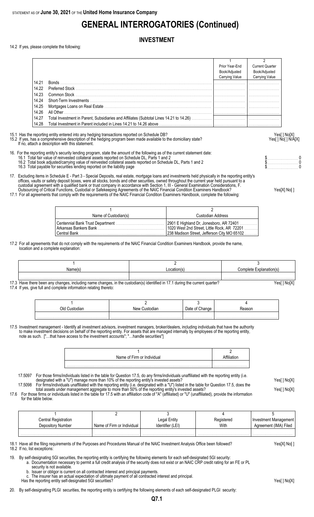## **GENERAL INTERROGATORIES (Continued)**

### **INVESTMENT**

14.2 If yes, please complete the following:

|       |                                                                                                                                                                                                                                                                       | Prior Year-End<br>Book/Adjusted | <b>Current Quarter</b><br>Book/Adjusted |
|-------|-----------------------------------------------------------------------------------------------------------------------------------------------------------------------------------------------------------------------------------------------------------------------|---------------------------------|-----------------------------------------|
|       |                                                                                                                                                                                                                                                                       | Carrying Value                  | Carrying Value                          |
| 14.21 |                                                                                                                                                                                                                                                                       |                                 |                                         |
| 14.22 |                                                                                                                                                                                                                                                                       |                                 |                                         |
| 14.23 |                                                                                                                                                                                                                                                                       |                                 |                                         |
| 14.24 |                                                                                                                                                                                                                                                                       |                                 |                                         |
| 14.25 |                                                                                                                                                                                                                                                                       |                                 |                                         |
| 14.26 | All Other                                                                                                                                                                                                                                                             |                                 |                                         |
| 14.27 |                                                                                                                                                                                                                                                                       |                                 |                                         |
| 14.28 | Total Investment in Parent included in Lines 14.21 to 14.26 above                                                                                                                                                                                                     |                                 |                                         |
|       | 15.1 Has the reporting entity entered into any hedging transactions reported on Schedule DB?<br>15.2 If yes, has a comprehensive description of the hedging program been made available to the domiciliary state?<br>If no, attach a description with this statement. |                                 | Yes[ ] No[X]<br>Yes[] No[] N/A[X]       |

16. For the reporting entity's security lending program, state the amount of the following as of the current statement date:

- 16.1 Total fair value of reinvested collateral assets reported on Schedule DL, Parts 1 and 2 **16.1 Total fair value of reinvested collateral assets reported on Schedule DL**, Parts 1 and 2 \$ . . . . . . . . . . . . . . . . 16.2 Total book adjusted/carrying value of reinvested collateral assets reported on Schedule DL, Parts 1 and 2 \$. . . . . . . . . . . . . . . . . . . . . . . 0
- 16.3 Total payable for securities lending reported on the liability page \$. . . . . . . . . . . . . . . . . . . . . . . 0
- 17. Excluding items in Schedule E Part 3 Special Deposits, real estate, mortgage loans and investments held physically in the reporting entity's offices, vaults or safety deposit boxes, were all stocks, bonds and other securities, owned throughout the current year held pursuant to a custodial agreement with a qualified bank or trust company in accordance with Section 1, III - General Examination Considerations, F. Outsourcing of Critical Functions, Custodial or Safekeeping Agreements of the NAIC Financial Condition Examiners Handbook? Yes[X] No[ ]
- 17.1 For all agreements that comply with the requirements of the NAIC Financial Condition Examiners Handbook, complete the following:

| Custodian Address                                                                          |
|--------------------------------------------------------------------------------------------|
| 2901 E Highland Dr, Jonesboro, AR 72401                                                    |
| 1020 West 2nd Street, Little Rock, AR 72201<br>238 Madison Street, Jefferson City MO 65102 |
|                                                                                            |

17.2 For all agreements that do not comply with the requirements of the NAIC Financial Condition Examiners Handbook, provide the name, location and a complete explanation:

| Jame(s | Location(s) | Complete Explanation(s) |
|--------|-------------|-------------------------|
|        |             |                         |
|        |             |                         |

17.3 Have there been any changes, including name changes, in the custodian(s) identified in 17.1 during the current quarter? Yesell No[X] 17.4 If yes, give full and complete information relating thereto:

| אור | ⊟ustodian<br>10111 | Jate |  |
|-----|--------------------|------|--|
|     |                    |      |  |

17.5 Investment management - Identify all investment advisors, investment managers, broker/dealers, including individuals that have the authority to make investment decisions on behalf of the reporting entity. For assets that are managed internally by employees of the reporting entity, note as such. ["…that have access to the investment accounts"; "…handle securities"]

| Name of Firm or Individual |  |
|----------------------------|--|
|                            |  |

17.5097 For those firms/individuals listed in the table for Question 17.5, do any firms/individuals unaffiliated with the reporting entity (i.e. designated with a "U") manage more than 10% of the reporting entity's invested assets? Yese Yeses are than 10% of the reporting entity's invested assets?

17.5098 For firms/individuals unaffiliated with the reporting entity (i.e. designated with a "U") listed in the table for Question 17.5, does the total assets under management aggregate to more than 50% of the reporting entity's invested assets? Yes[ ] No[X] 17.6 For those firms or individuals listed in the table for 17.5 with an affiliation code of "A" (affiliated) or "U" (unaffiliated), provide the information

for the table below.

| Central Registration |                            | Legal Entity     | Registered | <b>Investment Management</b> |
|----------------------|----------------------------|------------------|------------|------------------------------|
| Depository Number    | Name of Firm or Individual | Identifier (LEI) | With       | Agreement (IMA) Filed        |
|                      |                            |                  |            |                              |

18.1 Have all the filing requirements of the Purposes and Procedures Manual of the NAIC Investment Analysis Office been followed? Yes[X] No[ ] 18.2 If no, list exceptions:

19. By self-designating 5GI securities, the reporting entity is certifying the following elements for each self-designated 5GI security:

a. Documentation necessary to permit a full credit analysis of the security does not exist or an NAIC CRP credit rating for an FE or PL

security is not available. b. Issuer or obligor is current on all contracted interest and principal payments.

Has the reporting entity self-designated 5GI securities? Yes[] No[X]

20. By self-designating PLGI securities, the reporting entity is certifying the following elements of each self-designated PLGI security:

**Q7.1**

The insurer has an actual expectation of ultimate payment of all contracted interest and principal.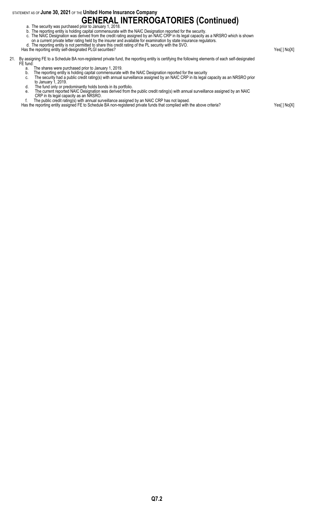# **GENERAL INTERROGATORIES (Continued)** a. The security was purchased prior to January 1, 2018.

- b. The reporting entity is holding capital commensurate with the NAIC Designation reported for the security.
- c. The NAIC Designation was derived from the credit rating assigned by an NAIC CRP in its legal capacity as a NRSRO which is shown
- on a current private letter rating held by the insurer and available for examination by state insurance regulators.

d. The reporting entity is not permitted to share this credit rating of the PL security with the SVO.

Has the reporting entity self-designated PLGI securities? Yes[ ] No[X]

- 21. By assigning FE to a Schedule BA non-registered private fund, the reporting entity is certifying the following elements of each self-designated FE fund:
	- a. The shares were purchased prior to January 1, 2019.
	- b. The reporting entity is holding capital commensurate with the NAIC Designation reported for the security
	- c. The security had a public credit rating(s) with annual surveillance assigned by an NAIC CRP in its legal capacity as an NRSRO prior to January 1, 2019.
	- d. The fund only or predominantly holds bonds in its portfolio.
	- e. The current reported NAIC Designation was derived from the public credit rating(s) with annual surveillance assigned by an NAIC
	- CRP in its legal capacity as an NRSRO. f. The public credit rating(s) with annual surveillance assigned by an NAIC CRP has not lapsed.
	- Has the reporting entity assigned FE to Schedule BA non-registered private funds that complied with the above criteria? Yes[ ] No[X]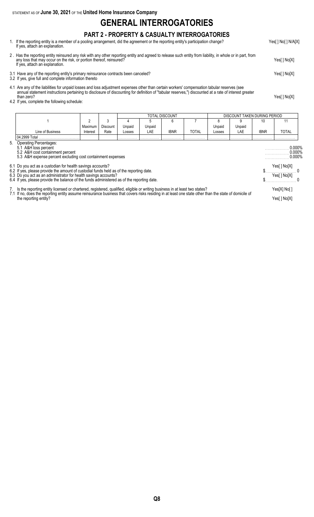### **GENERAL INTERROGATORIES**

### **PART 2 - PROPERTY & CASUALTY INTERROGATORIES**

- 1. If the reporting entity is a member of a pooling arrangement, did the agreement or the reporting entity's participation change? Yes[ ] No[ ] N/A[X] If yes, attach an explanation.
- 2 . Has the reporting entity reinsured any risk with any other reporting entity and agreed to release such entity from liability, in whole or in part, from any loss that may occur on the risk, or portion thereof, reinsured? Yes[ ] No[X] If yes, attach an explanation.
- 3.1 Have any of the reporting entity's primary reinsurance contracts been canceled? Yes[ ] No[X]
- 3.2 If yes, give full and complete information thereto
- 4.1 Are any of the liabilities for unpaid losses and loss adjustment expenses other than certain workers' compensation tabular reserves (see annual statement instructions pertaining to disclosure of discounting for definition of "tabular reserves,") discounted at a rate of interest greater than zero? Yes[ ] No[X]
- 4.2 If yes, complete the following schedule:

|    |                                                                                                                                                                                                                                                                                        |          |                 |        |        | TOTAL DISCOUNT |              |        | DISCOUNT TAKEN DURING PERIOD |              |                               |
|----|----------------------------------------------------------------------------------------------------------------------------------------------------------------------------------------------------------------------------------------------------------------------------------------|----------|-----------------|--------|--------|----------------|--------------|--------|------------------------------|--------------|-------------------------------|
|    |                                                                                                                                                                                                                                                                                        | 2        | 3               |        |        | 6              |              |        | 9                            | 10           | 11                            |
|    |                                                                                                                                                                                                                                                                                        | Maximum  | <b>Discount</b> | Unpaid | Unpaid |                |              | Unpaid | Unpaid                       |              |                               |
|    | Line of Business                                                                                                                                                                                                                                                                       | Interest | Rate            | Losses | LAE    | <b>IBNR</b>    | <b>TOTAL</b> | Losses | LAE                          | <b>IBNR</b>  | TOTAL                         |
|    | 04.2999 Total                                                                                                                                                                                                                                                                          |          |                 |        |        |                |              |        |                              |              |                               |
| 5. | Operating Percentages:<br>5.1 A&H loss percent<br>5.2 A&H cost containment percent<br>5.3 A&H expense percent excluding cost containment expenses                                                                                                                                      |          |                 |        |        |                |              |        |                              |              | 0.000%<br>0.000%<br>$0.000\%$ |
|    | 6.1 Do you act as a custodian for health savings accounts?<br>6.2 If yes, please provide the amount of custodial funds held as of the reporting date.                                                                                                                                  |          |                 |        |        |                |              |        |                              |              | Yes[ ] No[X]                  |
|    | 6.3 Do you act as an administrator for health savings accounts?<br>6.4 If yes, please provide the balance of the funds administered as of the reporting date.                                                                                                                          |          |                 |        |        |                |              |        |                              |              | Yes[ ] No[X]                  |
|    | 7. Is the reporting entity licensed or chartered, registered, qualified, eligible or writing business in at least two states?<br>7.1 If no, does the reporting entity assume reinsurance business that covers risks residing in at least one state other than the state of domicile of |          |                 |        |        |                |              |        |                              | Yes[X] No[ ] |                               |
|    | the reporting entity?                                                                                                                                                                                                                                                                  |          |                 |        |        |                |              |        |                              |              | Yes[] No[X]                   |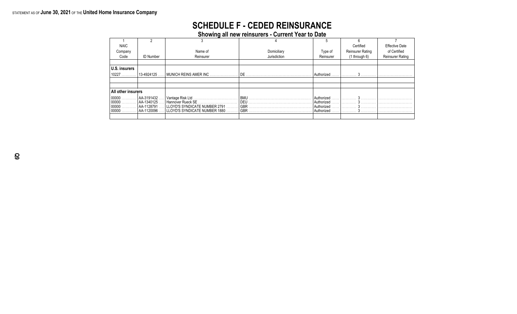## **SCHEDULE F - CEDED REINSURANCE**

**Showing all new reinsurers - Current Year to Date**

| <b>NAIC</b>                               |                  |                                                                 |                          |                          | Certified               | <b>Effective Date</b>   |
|-------------------------------------------|------------------|-----------------------------------------------------------------|--------------------------|--------------------------|-------------------------|-------------------------|
| Company                                   |                  | Name of                                                         | Domiciliary              | Type of                  | <b>Reinsurer Rating</b> | of Certified            |
| Code                                      | <b>ID Number</b> | Reinsurer                                                       | Jurisdiction             | Reinsurer                | $(1$ through $6)$       | <b>Reinsurer Rating</b> |
|                                           |                  |                                                                 |                          |                          |                         |                         |
| U.S. insurers                             |                  |                                                                 |                          |                          |                         |                         |
| 10227                                     | 13-4924125       | $\vert$ MUNICH REINS AMER INC $\ldots$ , $\ldots$               | DE                       | Authorized               |                         |                         |
|                                           |                  |                                                                 |                          |                          |                         |                         |
|                                           |                  |                                                                 |                          |                          |                         |                         |
| All other insurers                        |                  |                                                                 |                          |                          |                         |                         |
| $ 00000 \ldots  $ AA-3191432              |                  |                                                                 | <b>BMU</b>               | Authorized               |                         |                         |
| $ 00000 \ldots  $ AA-1340125.             |                  | Hannover Rueck SE.                                              | DEU                      | Authorized               |                         |                         |
| $ 00000 \ldots  $ AA-1128791.<br>$100000$ | AA-1120096       | LLOYD'S SYNDICATE NUMBER 2791<br>LLOYD'S SYNDICATE NUMBER 1880. | <b>GBR</b><br><b>GBR</b> | Authorized<br>Authorized |                         |                         |
|                                           |                  |                                                                 |                          |                          |                         |                         |
|                                           |                  |                                                                 |                          |                          |                         |                         |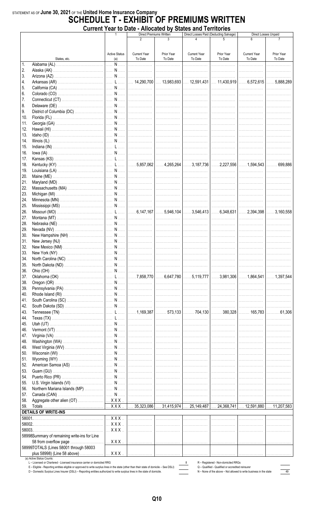## STATEMENT AS OF June 30, 2021 OF THE United Home Insurance Company<br>**SCHEDULE T - EXHIBIT OF PREMIUMS WRITTEN** Current Year to Date - Allocated by States and Territories

|            |                                              |                         | $\sim$ 1 cm to Date - Allocated by | Direct Premiums Written | <b>UMWA MIM TULLIWINA</b> | Direct Losses Paid (Deducting Salvage) |                     | Direct Losses Unpaid |
|------------|----------------------------------------------|-------------------------|------------------------------------|-------------------------|---------------------------|----------------------------------------|---------------------|----------------------|
|            |                                              |                         | $\overline{2}$                     | $\mathbf{3}$            | $\Delta$                  |                                        | 6                   |                      |
|            |                                              |                         |                                    |                         |                           |                                        |                     |                      |
|            |                                              | <b>Active Status</b>    | <b>Current Year</b>                | Prior Year              | <b>Current Year</b>       | Prior Year                             | <b>Current Year</b> | Prior Year           |
|            | States, etc.                                 | (a)                     | To Date                            | To Date                 | To Date                   | To Date                                | To Date             | To Date              |
| 1.         |                                              |                         |                                    | . 1                     | .                         | .                                      | .                   | .                    |
| 2.         |                                              |                         |                                    |                         |                           | .                                      | .                   | .                    |
| 3.         |                                              |                         |                                    |                         |                           |                                        |                     | .                    |
| 4.         |                                              |                         |                                    |                         |                           |                                        |                     |                      |
| 5.         |                                              |                         |                                    |                         |                           |                                        |                     |                      |
| 6.         |                                              |                         |                                    |                         |                           | .                                      |                     | . <b>.</b> .         |
| 7.         |                                              |                         |                                    |                         |                           | .                                      | .                   | .                    |
| 8.         |                                              |                         |                                    |                         |                           |                                        |                     | 1.                   |
| 9.         |                                              |                         |                                    |                         |                           |                                        |                     |                      |
| 10.<br>11. |                                              |                         |                                    |                         |                           |                                        |                     |                      |
| 12.        |                                              |                         |                                    |                         |                           |                                        |                     |                      |
| 13.        |                                              |                         |                                    |                         |                           |                                        |                     |                      |
| 14.        |                                              |                         |                                    |                         |                           |                                        |                     | .                    |
| 15.        |                                              |                         |                                    |                         |                           | .                                      | .                   | .                    |
| 16.        |                                              |                         |                                    |                         |                           | . 1                                    |                     | .                    |
| 17.        |                                              |                         |                                    |                         |                           |                                        |                     |                      |
| 18.        |                                              |                         |                                    |                         |                           |                                        |                     |                      |
| 19.        |                                              |                         |                                    |                         |                           |                                        |                     | 1.                   |
| 20.        |                                              |                         |                                    |                         |                           |                                        |                     |                      |
| 21.        |                                              |                         |                                    |                         |                           |                                        |                     |                      |
| 22.        |                                              |                         |                                    |                         |                           |                                        |                     |                      |
| 23.        |                                              |                         |                                    |                         |                           |                                        |                     |                      |
| 24.        |                                              |                         |                                    |                         |                           |                                        |                     |                      |
| 25.        |                                              |                         |                                    |                         |                           |                                        |                     |                      |
| 26.        |                                              |                         |                                    |                         |                           |                                        |                     |                      |
| 27.        |                                              |                         |                                    |                         |                           |                                        |                     |                      |
| 28.        |                                              |                         |                                    |                         |                           |                                        |                     |                      |
| 29.        |                                              |                         |                                    |                         |                           | .                                      | .                   |                      |
| 30.        |                                              |                         |                                    |                         |                           |                                        |                     | . <b>.</b> .         |
| 31.        |                                              |                         |                                    |                         |                           | .                                      | .                   | .                    |
| 32.        |                                              |                         |                                    |                         |                           |                                        | .                   | .                    |
| 33.<br>34. |                                              |                         |                                    |                         |                           |                                        |                     | .                    |
| 35.        | North Carolina (NC).                         |                         |                                    |                         |                           |                                        |                     |                      |
| 36.        |                                              |                         |                                    |                         |                           |                                        |                     | .                    |
| 37.        |                                              |                         |                                    |                         |                           |                                        |                     |                      |
| 38.        |                                              |                         |                                    |                         |                           |                                        |                     | .                    |
| 39.        |                                              |                         |                                    |                         |                           |                                        |                     | .                    |
| 40.        |                                              |                         |                                    |                         |                           |                                        |                     |                      |
| 41.        |                                              |                         |                                    |                         |                           |                                        |                     | .                    |
| 42.        |                                              |                         |                                    |                         |                           |                                        |                     | . <b>.</b> .         |
| 43.        |                                              |                         |                                    |                         |                           |                                        |                     |                      |
| 44.        |                                              |                         |                                    |                         |                           |                                        |                     | .                    |
| 45.        |                                              |                         |                                    |                         |                           |                                        |                     |                      |
| 46.        |                                              |                         |                                    |                         |                           |                                        |                     |                      |
| 47.        |                                              |                         |                                    |                         |                           |                                        |                     |                      |
| 48.        |                                              |                         |                                    |                         |                           |                                        |                     |                      |
| 49.        |                                              |                         |                                    |                         |                           |                                        |                     | .                    |
| 50.        |                                              |                         |                                    |                         |                           |                                        |                     | .                    |
| 51.        |                                              |                         |                                    |                         |                           | .                                      |                     |                      |
| 52.        |                                              |                         |                                    |                         |                           | .                                      | .                   |                      |
| 53.        |                                              |                         |                                    |                         |                           |                                        |                     |                      |
| 54.        |                                              |                         |                                    |                         |                           |                                        |                     | .<br>.               |
| 55.<br>56. |                                              |                         |                                    |                         |                           |                                        |                     | .                    |
| 57.        |                                              |                         |                                    |                         |                           |                                        |                     | .                    |
| 58.        |                                              |                         |                                    |                         |                           |                                        |                     | 1.                   |
| 59.        |                                              |                         |                                    |                         |                           |                                        |                     |                      |
|            | <b>DETAILS OF WRITE-INS</b>                  |                         |                                    |                         |                           |                                        |                     |                      |
|            |                                              | $\ldots$ X X X $\ldots$ | .                                  |                         |                           | .                                      | .                   | .                    |
|            |                                              | $$ X X X $$             | .                                  |                         |                           | .                                      | .                   | .                    |
|            |                                              | $$ X X X $$             | .                                  |                         |                           | .                                      | .                   |                      |
|            | 58998Summary of remaining write-ins for Line |                         |                                    |                         |                           |                                        |                     |                      |
|            | 58 from overflow page                        |                         |                                    |                         |                           |                                        |                     |                      |
|            | 58999TOTALS (Lines 58001 through 58003       |                         |                                    |                         |                           |                                        |                     |                      |
|            | plus 58998) (Line 58 above)                  | $$ $XXX$                |                                    |                         |                           |                                        |                     | .                    |
|            | (a) Active Status Counts:                    |                         |                                    |                         |                           |                                        |                     |                      |

8 R - Registered - Non-domiciled RRGs<br>
Q - Qualified - Qualified or accredited reinsurer<br>
N - None of the above - Not allowed to write business in the state

 $\frac{1}{\sqrt{10}}$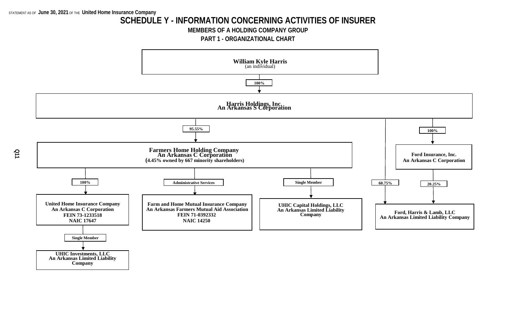### **SCHEDULE Y - INFORMATION CONCERNING ACTIVITIES OF INSURER**

**MEMBERS OF A HOLDING COMPANY GROUP**

**PART 1 - ORGANIZATIONAL CHART**



**Q11**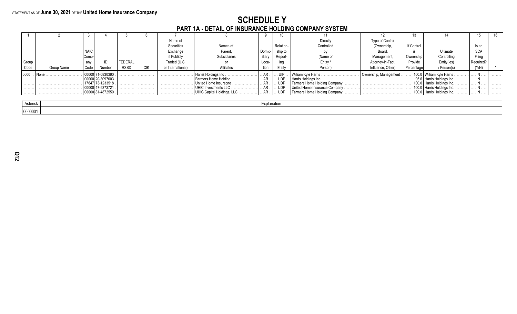# SCHEDULE Y<br>PART 1A - DETAIL OF INSURANCE HOLDING COMPANY SYSTEM

|       |            |             |            |             |            | Name of           |                               |        |            | Directly                       | Type of Control       |            |                                        |             |   |
|-------|------------|-------------|------------|-------------|------------|-------------------|-------------------------------|--------|------------|--------------------------------|-----------------------|------------|----------------------------------------|-------------|---|
|       |            |             |            |             |            | Securities        | Names of                      |        | Relation-  | Controlled                     | (Ownership,           | If Control |                                        | Is an       |   |
|       |            | <b>NAIC</b> |            |             |            | Exchange          | Parent,                       | Domic- | ship to    |                                | <b>Board</b>          |            | Ultimate                               | <b>SCA</b>  |   |
|       |            | Comp        |            |             |            | if Publicly       | <b>Subsidiaries</b>           | iliary | Report-    | (Name of                       | Management.           | Ownership  | Controlling                            | Filina      |   |
| Group |            | any         |            | FEDERAL     |            | Traded (U.S.      |                               | Loca-  |            | Entity                         | Attorney-in-Fact.     | Provide    | Entity(ies)                            |             |   |
| Code  | Group Name | Code        | Number     | <b>RSSD</b> | <b>CIK</b> | or International) | <b>Affiliates</b>             | tion   | Entity     | Person)                        | Influence, Other)     | Percentage | / Person(s)                            | (Y/N)       |   |
| 0000  |            |             | 71-0830390 | .           | .          | .                 | Harris Holdings Inc.          |        | UIP        | . William Kyle Harris          | Ownership, Management |            | 100.0   William Kyle Harris.           |             | . |
|       |            |             | 20-3097003 | .           | .          |                   | Farmers Home Holding<br>. 1   | . AR   | <b>UDP</b> |                                |                       |            | . 95.6   Harris Holdings Inc. $\ldots$ |             | . |
|       |            |             | 73-1233518 |             | .          |                   | United Home Insuracne         |        | <b>UDP</b> | Farmers Home Holding Company   |                       |            | 100.0   Harris Holdings Inc.           |             | . |
| .     |            |             | 47-5373721 | .           | .          |                   | UHIC Investments LLC.<br>.    |        | . UDP      | United Home Insurance Company. |                       |            | 100.0   Harris Holdings Inc.           |             | . |
| . 1   |            | 000001      | 81-4872550 | .           | .          |                   | . UHIC Capital Holdings, LLC. |        | <b>UDP</b> | Farmers Home Holding Company   |                       |            | 100.0   Harris Holdings Inc            | . <b>14</b> | . |
|       |            |             |            |             |            |                   |                               |        |            |                                |                       |            |                                        |             |   |

| Actorick |  |
|----------|--|
| 0000001  |  |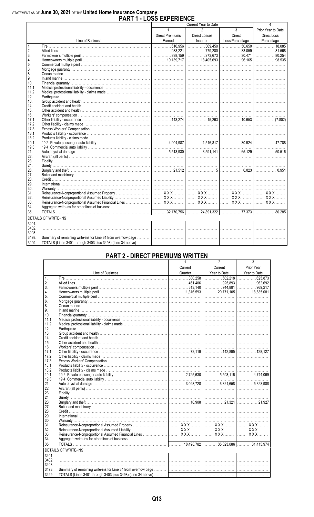# STATEMENT AS OF June 30, 2021 OF THE United Home Insurance Company<br>PART 1 - LOSS EXPERIENCE

|                |                                                                                                                                                                                                                                   | 4                      |                      |                 |                                      |
|----------------|-----------------------------------------------------------------------------------------------------------------------------------------------------------------------------------------------------------------------------------|------------------------|----------------------|-----------------|--------------------------------------|
|                |                                                                                                                                                                                                                                   |                        | Current Year to Date |                 |                                      |
|                |                                                                                                                                                                                                                                   | $\mathbf{1}$           | $\mathfrak{p}$       | $\overline{3}$  | Prior Year to Date                   |
|                |                                                                                                                                                                                                                                   | <b>Direct Premiums</b> | Direct Losses        | Direct          | <b>Direct Loss</b>                   |
|                | Line of Business                                                                                                                                                                                                                  | Earned                 | Incurred             | Loss Percentage | Percentage                           |
| $\mathbf{1}$ . |                                                                                                                                                                                                                                   |                        |                      |                 |                                      |
| 2.             |                                                                                                                                                                                                                                   |                        |                      |                 |                                      |
| 3.             |                                                                                                                                                                                                                                   |                        |                      |                 | $\ldots \ldots \ldots \ldots$ 80.254 |
| 4.             |                                                                                                                                                                                                                                   |                        |                      |                 | 98.535                               |
| 5.             |                                                                                                                                                                                                                                   |                        |                      |                 |                                      |
| 6.             |                                                                                                                                                                                                                                   |                        |                      |                 |                                      |
| 8.             |                                                                                                                                                                                                                                   |                        |                      |                 |                                      |
| 9.             |                                                                                                                                                                                                                                   |                        |                      |                 |                                      |
| 10.            |                                                                                                                                                                                                                                   |                        |                      |                 |                                      |
| 11.1           |                                                                                                                                                                                                                                   |                        |                      |                 |                                      |
| 11.2           |                                                                                                                                                                                                                                   |                        |                      |                 |                                      |
| 12.            |                                                                                                                                                                                                                                   |                        |                      |                 |                                      |
| 13.            |                                                                                                                                                                                                                                   |                        |                      |                 |                                      |
| 14.            |                                                                                                                                                                                                                                   |                        |                      |                 |                                      |
| 15.            |                                                                                                                                                                                                                                   |                        |                      |                 |                                      |
| 16.            |                                                                                                                                                                                                                                   |                        |                      |                 |                                      |
| 17.1           |                                                                                                                                                                                                                                   |                        |                      |                 |                                      |
| 17.2           |                                                                                                                                                                                                                                   |                        |                      |                 |                                      |
| 17.3           |                                                                                                                                                                                                                                   |                        |                      |                 |                                      |
| 18.1           |                                                                                                                                                                                                                                   |                        |                      |                 |                                      |
| 18.2           |                                                                                                                                                                                                                                   |                        |                      |                 |                                      |
| 19.1           |                                                                                                                                                                                                                                   |                        |                      |                 |                                      |
| 19.3           |                                                                                                                                                                                                                                   |                        |                      |                 |                                      |
| 21.            |                                                                                                                                                                                                                                   |                        |                      |                 |                                      |
| 22.            |                                                                                                                                                                                                                                   |                        |                      |                 |                                      |
| 23.            |                                                                                                                                                                                                                                   |                        |                      |                 |                                      |
| 24.            |                                                                                                                                                                                                                                   |                        |                      |                 |                                      |
| 26.            |                                                                                                                                                                                                                                   |                        |                      |                 |                                      |
| 27.            |                                                                                                                                                                                                                                   |                        |                      |                 |                                      |
| 28.            |                                                                                                                                                                                                                                   |                        |                      |                 |                                      |
| 29.            |                                                                                                                                                                                                                                   |                        |                      |                 |                                      |
| 30.            |                                                                                                                                                                                                                                   |                        |                      |                 |                                      |
| 31.            |                                                                                                                                                                                                                                   |                        |                      |                 |                                      |
| 32.            |                                                                                                                                                                                                                                   |                        |                      |                 |                                      |
| 33.            | Reinsurance-Nonproportional Assumed Liability<br>Reinsurance-Nonproportional Assumed Financial Lines<br>WAX MARION WAX MARION WAX MARION WAX WARD NON WAX WAS RESOLUTED AND NON-REVISED ON THE REAL PRINCIPAL PRINCIPAL PRINCIPAL |                        |                      |                 |                                      |
| 34.            |                                                                                                                                                                                                                                   |                        |                      |                 |                                      |
| 35.            |                                                                                                                                                                                                                                   |                        |                      |                 |                                      |
|                | <b>DETAILS OF WRITE-INS</b>                                                                                                                                                                                                       |                        |                      |                 |                                      |
| 3401.          |                                                                                                                                                                                                                                   |                        |                      |                 |                                      |
| 3402.          |                                                                                                                                                                                                                                   |                        |                      |                 |                                      |
| 3403.          |                                                                                                                                                                                                                                   |                        |                      |                 |                                      |
| 3498.          |                                                                                                                                                                                                                                   |                        |                      |                 |                                      |
| 3499.          |                                                                                                                                                                                                                                   |                        |                      |                 |                                      |
|                |                                                                                                                                                                                                                                   |                        |                      |                 |                                      |

### **PART 2 - DIRECT PREMIUMS WRITTEN**

|                 |                                                                                                                                                      |         | z            | 3            |
|-----------------|------------------------------------------------------------------------------------------------------------------------------------------------------|---------|--------------|--------------|
|                 |                                                                                                                                                      | Current | Current      | Prior Year   |
|                 | Line of Business                                                                                                                                     | Quarter | Year to Date | Year to Date |
| $\mathbf{1}$ .  |                                                                                                                                                      |         |              |              |
| 2.              |                                                                                                                                                      |         |              |              |
| 3.              |                                                                                                                                                      |         |              |              |
| 4.              |                                                                                                                                                      |         |              |              |
| 5.              |                                                                                                                                                      |         |              |              |
| 6.              |                                                                                                                                                      |         |              |              |
| 8.              |                                                                                                                                                      |         |              |              |
| 9.              |                                                                                                                                                      |         |              |              |
| 10 <sub>1</sub> |                                                                                                                                                      |         |              |              |
| 11.1            |                                                                                                                                                      |         |              |              |
| 11.2            |                                                                                                                                                      |         |              |              |
| 12.             |                                                                                                                                                      |         |              |              |
| 13.             |                                                                                                                                                      |         |              |              |
| 14.             |                                                                                                                                                      |         |              |              |
| 15.             |                                                                                                                                                      |         |              |              |
| 16.             |                                                                                                                                                      |         |              |              |
| 17.1            |                                                                                                                                                      |         |              |              |
| 17.2            |                                                                                                                                                      |         |              |              |
| 17.3            |                                                                                                                                                      |         |              |              |
| 18.1            |                                                                                                                                                      |         |              |              |
| 18.2            |                                                                                                                                                      |         |              |              |
| 19.1            |                                                                                                                                                      |         |              |              |
| 19.3            |                                                                                                                                                      |         |              |              |
| 21.             |                                                                                                                                                      |         |              |              |
| 22.             |                                                                                                                                                      |         |              |              |
| 23.             |                                                                                                                                                      |         |              |              |
| 24.             |                                                                                                                                                      |         |              |              |
| 26.             |                                                                                                                                                      |         |              |              |
| 27.             |                                                                                                                                                      |         |              |              |
| 28.             |                                                                                                                                                      |         |              |              |
| 29.             |                                                                                                                                                      |         |              |              |
| 30.             |                                                                                                                                                      |         |              |              |
| 31.             |                                                                                                                                                      |         |              |              |
| 32.             |                                                                                                                                                      |         |              |              |
| 33.             |                                                                                                                                                      |         |              |              |
| 34.             |                                                                                                                                                      |         |              |              |
| 35.             |                                                                                                                                                      |         |              |              |
|                 | <b>DETAILS OF WRITE-INS</b><br><u> 1989 - Johann Stoff, deutscher Stoff, der Stoff, der Stoff, der Stoff, der Stoff, der Stoff, der Stoff, der S</u> |         |              |              |
| 3401.           |                                                                                                                                                      |         |              |              |
| 3402.           |                                                                                                                                                      |         |              |              |
| 3403.           |                                                                                                                                                      |         |              |              |
| 3498.           |                                                                                                                                                      |         |              |              |
| 3499.           |                                                                                                                                                      |         |              |              |
|                 |                                                                                                                                                      |         |              |              |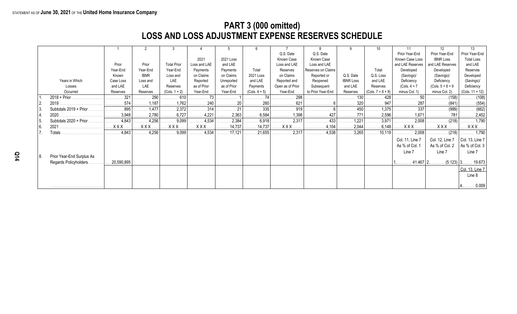### **PART 3 (000 omitted) LOSS AND LOSS ADJUSTMENT EXPENSE RESERVES SCHEDULE**

|     |                           |            |             |                       |                       |             |                        |                  |                    |                  |                       |                  | 12                      | 13                           |
|-----|---------------------------|------------|-------------|-----------------------|-----------------------|-------------|------------------------|------------------|--------------------|------------------|-----------------------|------------------|-------------------------|------------------------------|
|     |                           |            |             |                       |                       |             |                        | Q.S. Date        | Q.S. Date          |                  |                       | Prior Year-End   | Prior Year-End          | Prior Year-End               |
|     |                           |            |             |                       | 2021                  | 2021 Loss   |                        | Known Case       | Known Case         |                  |                       | Known Case Loss  | <b>IBNR Loss</b>        | <b>Total Loss</b>            |
|     |                           | Prior      | Prior       | <b>Total Prior</b>    | Loss and LAE          | and LAE     |                        | Loss and LAE     | Loss and LAE       |                  |                       | and LAE Reserves | and LAE Reserves        | and LAE                      |
|     |                           | Year-End   | Year-End    | Year-End              | Payments              | Payments    | Total                  | Reserves         | Reserves on Claims |                  | Total                 | Developed        | Developed               | Reserves                     |
|     |                           | Known      | <b>IBNR</b> | Loss and              | on Claims             | on Claims   | 2021 Loss              | on Claims        | Reported or        | Q.S. Date        | Q.S. Loss             | (Savings)/       | (Savings)/              | Developed                    |
|     | Years in Which            | Case Loss  | Loss and    | LAE                   | Reported              | Unreported  | and LAE                | Reported and     | Reopened           | <b>IBNR Loss</b> | and LAE               | Deficiency       | Deficiency              | (Savings)/                   |
|     | Losses                    | and LAE    | LAE         | Reserves              | as of Prior           | as of Prior | Payments               | Open as of Prior | Subsequent         | and LAE          | Reserves              | $(Cols. 4 + 7)$  | $(Cols. 5 + 8 + 9)$     | Deficiency                   |
|     | Occurred                  | Reserves   | Reserves    | $(Cols. 1 + 2)$       | Year-End              | Year-End    | $(Cols. 4 + 5)$        | Year-End         | to Prior Year-End  | Reserves         | $(Cols. 7 + 8 + 9)$   | minus Col. 1)    | minus Col. 2)           | (Cols. $11 + 12$ )           |
|     | $2018 + Prior$            | 321        | 290         | 610                   | 73                    |             |                        | 298              |                    | 130              | 428                   |                  | (158)                   |                              |
|     |                           | 574        | 1,187       | 1,762                 | . 240                 | . 20        | 260<br>.               | 621<br>.         |                    | 320              | . 947                 | 287              | (841)                   | . (554)                      |
|     | Subtotals 2019 + Prior.   | 895        | 1,477       | 2,372                 | $\ldots$ 314          | . 21        | . 335                  | 919              |                    | 450              | 1,375                 | . 337            | (999)                   | $\ldots \ldots \ldots (662)$ |
|     | 2020.                     | 3,948      | 2,780       | $\ldots \ldots 6,727$ | $\ldots$ 4,221        | 2,363       | 6,584                  | 1,398<br>.       | .                  | . 771            | $\ldots \ldots 2,596$ | 1,671            | 781                     | . 2,452                      |
|     | Subtotals 2020 + Prior.   | .4,843     | 4,256       | $\ldots$ 9,099        | 4,534                 | 2,384       | $\ldots \ldots 6,918$  | 2,317            | . 433              | $\ldots$ 1,221   | $\ldots \ldots 3,971$ | $\cdots$ 2,008   |                         | . 1,790                      |
| 6.  | 2021                      | XXX.       | <b>XXX</b>  | <b>XXX</b>            | XXX                   | 14,737      | $\ldots \ldots 14,737$ |                  |                    | . 2,044          | . 6,148               | <b>XXX</b>       |                         |                              |
|     | <b>Totals</b>             | 4,843      | 4,256       | $\ldots$ 9,099        | $\ldots \ldots 4,534$ | 17,121      | .21,655                | 2,317<br>.       | . 4,538            | 3,265            | 10,119                |                  |                         |                              |
|     |                           |            |             |                       |                       |             |                        |                  |                    |                  |                       | Col. 11, Line 7  | Col. 12, Line 7         | Col. 13, Line 7              |
|     |                           |            |             |                       |                       |             |                        |                  |                    |                  |                       | As % of Col. 1   | As % of Col. 2          | As % of Col. $3$             |
|     |                           |            |             |                       |                       |             |                        |                  |                    |                  |                       | Line 7           | Line 7                  | Line 7                       |
| 18. | Prior Year-End Surplus As |            |             |                       |                       |             |                        |                  |                    |                  |                       |                  |                         |                              |
|     | Regards Policyholders.    | 20,590,895 |             |                       |                       |             |                        |                  |                    |                  |                       |                  | $41.467$   2<br>(5.123) | . 19.673                     |
|     |                           |            |             |                       |                       |             |                        |                  |                    |                  |                       |                  |                         | Col. 13, Line 7              |
|     |                           |            |             |                       |                       |             |                        |                  |                    |                  |                       |                  |                         | Line 8                       |
|     |                           |            |             |                       |                       |             |                        |                  |                    |                  |                       |                  |                         |                              |
|     |                           |            |             |                       |                       |             |                        |                  |                    |                  |                       |                  |                         | $4$ 0.009                    |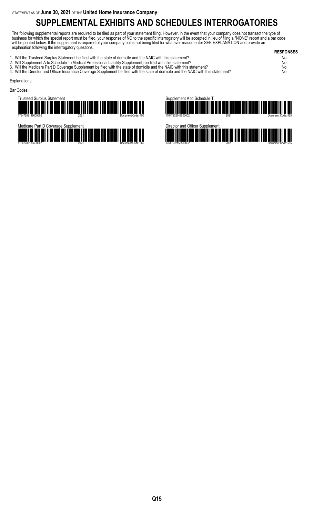## **SUPPLEMENTAL EXHIBITS AND SCHEDULES INTERROGATORIES**

The following supplemental reports are required to be filed as part of your statement filing. However, in the event that your company does not transact the type of business for which the special report must be filed, your response of NO to the specific interrogatory will be accepted in lieu of filing a "NONE" report and a bar code will be printed below. If the supplement is required of your company but is not being filed for whatever reason enter SEE EXPLANATION and provide an explanation following the interrogatory questions.

**RESPONSES** 1. Will the Trusteed Surplus Statement be filed with the state of domicile and the NAIC with this statement? No 2. Will Supplement A to Schedule T (Medical Professional Liability Supplement) be filed with this statement? No 3. Will the Medicare Part D Coverage Supplement be filed with the state of domicile and the NAIC with this statement? No 3. Will the Medicare Part D Coverage Supplement be filed with the state of domicile and the NAIC with this statement?<br>4. Will the Director and Officer Insurance Coverage Supplement be filed with the state of domicile and t Explanations: Bar Codes:







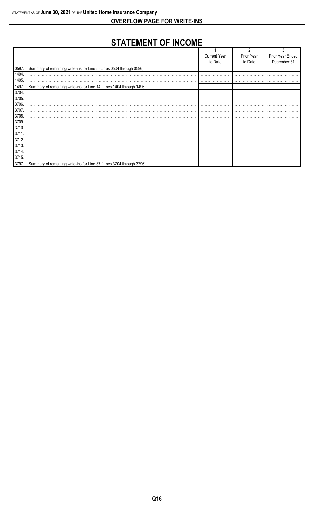### **OVERFLOW PAGE FOR WRITE-INS**

## **STATEMENT OF INCOME**

|       |                                                                       | <b>Current Year</b> | Prior Year | Prior Year Ended |
|-------|-----------------------------------------------------------------------|---------------------|------------|------------------|
|       |                                                                       | to Date             | to Date    | December 31      |
| 0597. | Summary of remaining write-ins for Line 5 (Lines 0504 through 0596)   |                     |            |                  |
| 1404. |                                                                       |                     |            |                  |
| 1405. |                                                                       |                     |            |                  |
| 1497. | Summary of remaining write-ins for Line 14 (Lines 1404 through 1496). |                     |            |                  |
| 3704. |                                                                       |                     |            |                  |
| 3705. |                                                                       |                     |            |                  |
| 3706. |                                                                       |                     |            |                  |
| 3707. |                                                                       |                     |            |                  |
| 3708. |                                                                       |                     |            |                  |
| 3709. |                                                                       |                     |            |                  |
| 3710. |                                                                       |                     |            |                  |
| 3711  |                                                                       |                     |            |                  |
| 3712. |                                                                       |                     |            |                  |
| 3713. |                                                                       |                     |            |                  |
| 3714. |                                                                       |                     |            |                  |
| 3715. |                                                                       |                     |            |                  |
| 3797. | Summary of remaining write-ins for Line 37 (Lines 3704 through 3796). |                     |            |                  |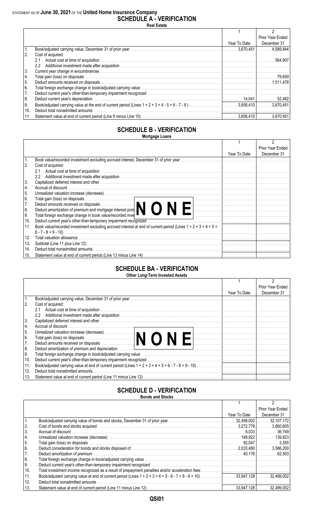**SCHEDULE A - VERIFICATION Real Estate**

|               |                                    |              | Prior Year Ended |
|---------------|------------------------------------|--------------|------------------|
|               |                                    | Year To Date | December 31      |
| 1.            |                                    | 3.670.451    | 4.589.844        |
| <sup>2.</sup> | Cost of acquired:                  |              |                  |
|               | 2.1                                |              | 564.907          |
|               | $2.2^{\circ}$                      |              |                  |
| 3.            |                                    |              |                  |
| 4.            |                                    |              |                  |
| 5.            |                                    |              |                  |
| 6.            |                                    |              |                  |
| 7.            |                                    |              |                  |
| 8.            | Deduct current year's depreciation |              |                  |
| 9.            |                                    |              | 3.670.451        |
| 10.           |                                    |              |                  |
|               |                                    |              | 3.670.451        |

#### **SCHEDULE B - VERIFICATION Mortgage Loans**

|     |                                                                                                                                                                                                                                |              | Prior Year Ended |
|-----|--------------------------------------------------------------------------------------------------------------------------------------------------------------------------------------------------------------------------------|--------------|------------------|
|     |                                                                                                                                                                                                                                | Year To Date | December 31      |
|     | Book value/recorded investment excluding accrued interest, December 31 of prior year                                                                                                                                           |              |                  |
| 2.  | Cost of acquired:                                                                                                                                                                                                              |              |                  |
|     | Actual cost at time of acquisition<br>2.1                                                                                                                                                                                      |              |                  |
|     | $2.2^{\circ}$                                                                                                                                                                                                                  |              |                  |
| 3.  | Capitalized deferred interest and other manufactured in the control of the control of the control of the control of the control of the control of the control of the control of the control of the control of the control of t |              |                  |
| 4.  |                                                                                                                                                                                                                                |              |                  |
| 5.  |                                                                                                                                                                                                                                |              |                  |
| 6.  | Total gain (loss) on disposals<br>Deduct amounts received on disposals<br>Deduct amortization of premium and mortgage interest poin                                                                                            |              |                  |
| 7.  |                                                                                                                                                                                                                                |              |                  |
| 8.  |                                                                                                                                                                                                                                |              |                  |
| 9.  | Total foreign exchange change in book value/recorded inve                                                                                                                                                                      |              |                  |
| 10. | Deduct current year's other-than-temporary impairment recognized.                                                                                                                                                              |              |                  |
| 11. | Book value/recorded investment excluding accrued interest at end of current period (Lines $1 + 2 + 3 + 4 + 5 + 1$ )                                                                                                            |              |                  |
|     |                                                                                                                                                                                                                                |              |                  |
| 12. |                                                                                                                                                                                                                                |              |                  |
| 13. |                                                                                                                                                                                                                                |              |                  |
| 14. |                                                                                                                                                                                                                                |              |                  |
| 15. |                                                                                                                                                                                                                                |              |                  |

#### **SCHEDULE BA - VERIFICATION Other Long-Term Invested Assets**

|      |                                                                                                                                                                                                                                |              | <b>Prior Year Ended</b> |
|------|--------------------------------------------------------------------------------------------------------------------------------------------------------------------------------------------------------------------------------|--------------|-------------------------|
|      |                                                                                                                                                                                                                                | Year To Date | December 31             |
| 1.   |                                                                                                                                                                                                                                |              |                         |
| 2.   | Cost of acquired:                                                                                                                                                                                                              |              |                         |
|      | Actual cost at time of acquisition<br>2.1                                                                                                                                                                                      |              |                         |
|      | 2.2                                                                                                                                                                                                                            |              |                         |
| 3.   | Capitalized deferred interest and other with the contract of the control of the control of the control of the control of the control of the control of the control of the control of the control of the control of the control |              |                         |
| 14.  |                                                                                                                                                                                                                                |              |                         |
| 5.   |                                                                                                                                                                                                                                |              |                         |
| l 6. |                                                                                                                                                                                                                                |              |                         |
| 7.   |                                                                                                                                                                                                                                |              |                         |
| 8.   |                                                                                                                                                                                                                                |              |                         |
| I9.  |                                                                                                                                                                                                                                |              |                         |
| 10.  |                                                                                                                                                                                                                                |              |                         |
| 11.  |                                                                                                                                                                                                                                |              |                         |
| 12.  | Deduct total nonadmitted amounts                                                                                                                                                                                               |              |                         |
| 13.  |                                                                                                                                                                                                                                |              |                         |
|      |                                                                                                                                                                                                                                |              |                         |

#### **SCHEDULE D - VERIFICATION Bonds and Stocks**

|     | <b>DUIIUS AIIU JIULNS</b>                                                                                                                                                                                                      |              |                  |
|-----|--------------------------------------------------------------------------------------------------------------------------------------------------------------------------------------------------------------------------------|--------------|------------------|
|     |                                                                                                                                                                                                                                |              |                  |
|     |                                                                                                                                                                                                                                |              | Prior Year Ended |
|     |                                                                                                                                                                                                                                | Year To Date | December 31      |
|     |                                                                                                                                                                                                                                |              |                  |
| 2.  |                                                                                                                                                                                                                                |              |                  |
| 3.  |                                                                                                                                                                                                                                |              |                  |
| 4.  |                                                                                                                                                                                                                                |              |                  |
| 5.  |                                                                                                                                                                                                                                |              |                  |
| 6.  | Deduct consideration for bonds and stocks disposed of matches and state and state matches and stocks disposed of matches and stocks disposed of matches and stocks disposed of matches and stocks and stocks and stocks and st |              |                  |
| 7.  |                                                                                                                                                                                                                                |              |                  |
| 8.  |                                                                                                                                                                                                                                |              |                  |
| ∣9. |                                                                                                                                                                                                                                |              |                  |
| 10. |                                                                                                                                                                                                                                |              |                  |
| 11. |                                                                                                                                                                                                                                |              |                  |
| 12. | Deduct total nonadmitted amounts                                                                                                                                                                                               |              |                  |
| 13. |                                                                                                                                                                                                                                |              |                  |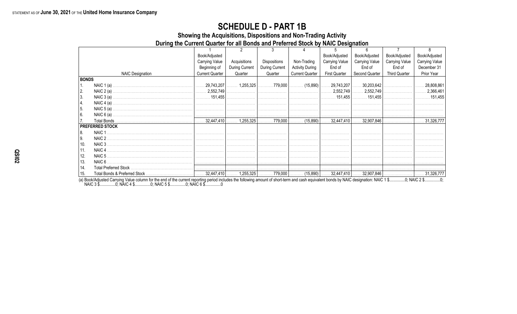### **SCHEDULE D - PART 1B**

Showing the Acquisitions, Dispositions and Non-Trading Activity

During the Current Quarter for all Bonds and Preferred Stock by NAIC Designation

|              |                         | Book/Adjusted          |                |                |                        | Book/Adjusted                                                      | Book/Adjusted         | Book/Adjusted         | Book/Adjusted         |
|--------------|-------------------------|------------------------|----------------|----------------|------------------------|--------------------------------------------------------------------|-----------------------|-----------------------|-----------------------|
|              |                         | Carrying Value         | Acquisitions   | Dispositions   | Non-Trading            | <b>Carrying Value</b>                                              | <b>Carrying Value</b> | <b>Carrying Value</b> | <b>Carrying Value</b> |
|              |                         | Beginning of           | During Current | During Current | <b>Activity During</b> | End of                                                             | End of                | End of                | December 31           |
|              | <b>NAIC Designation</b> | <b>Current Quarter</b> | Quarter        | Quarter        | <b>Current Quarter</b> | <b>First Quarter</b>                                               | Second Quarter        | <b>Third Quarter</b>  | Prior Year            |
| <b>BONDS</b> |                         |                        |                |                |                        |                                                                    |                       |                       |                       |
|              |                         |                        |                |                |                        | 1,255,325    779,000    (15,890)   ……. 29,743,207   ……. 30,203,642 |                       |                       | 28,808,861            |
| 2.           |                         |                        |                |                |                        |                                                                    |                       |                       |                       |
| 3.           |                         |                        |                |                |                        |                                                                    |                       |                       |                       |
| 4.           |                         |                        |                |                |                        |                                                                    |                       |                       |                       |
| 5.           |                         |                        |                |                |                        |                                                                    |                       |                       |                       |
| 6.           |                         |                        |                |                |                        |                                                                    |                       |                       |                       |
|              |                         |                        |                |                |                        |                                                                    |                       |                       |                       |
|              | <b>PREFERRED STOCK</b>  |                        |                |                |                        |                                                                    |                       |                       |                       |
| 8.           | NAIC <sub>1</sub>       |                        |                |                |                        |                                                                    |                       |                       |                       |
| $\vert$ 9.   | NAIC 2                  |                        |                |                |                        |                                                                    |                       |                       |                       |
| 10.          |                         |                        |                |                |                        |                                                                    |                       |                       |                       |
| 11.          |                         |                        |                |                |                        |                                                                    |                       |                       |                       |
| 12.          |                         |                        |                |                |                        |                                                                    |                       |                       |                       |
| 13.          |                         |                        |                |                |                        |                                                                    |                       |                       |                       |
| 14.          |                         |                        |                |                |                        |                                                                    |                       |                       |                       |
| 15.          |                         |                        |                |                |                        |                                                                    |                       |                       |                       |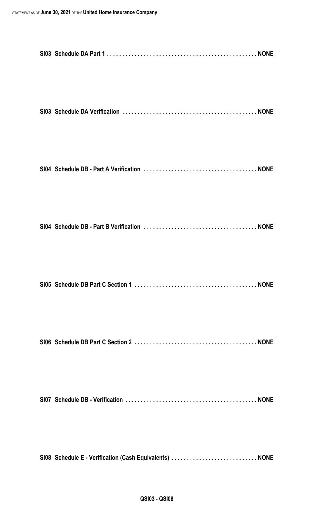| SI08 Schedule E - Verification (Cash Equivalents)  NONE |  |
|---------------------------------------------------------|--|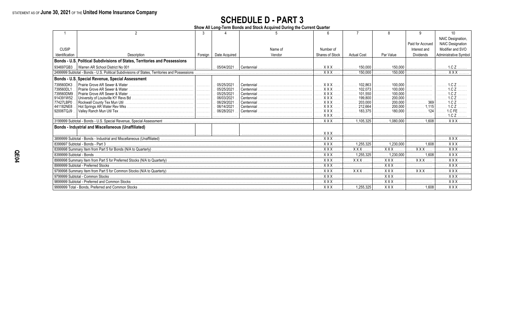# **SCHEDULE D - PART 3**<br>Show All Long-Term Bonds and Stock Acquired During the Current Quarter

|                          |                                                                                               |         |                 |            |                       |                    |                                  |                  | 10                      |
|--------------------------|-----------------------------------------------------------------------------------------------|---------|-----------------|------------|-----------------------|--------------------|----------------------------------|------------------|-------------------------|
|                          |                                                                                               |         |                 |            |                       |                    |                                  |                  | NAIC Designation,       |
|                          |                                                                                               |         |                 |            |                       |                    |                                  | Paid for Accrued | <b>NAIC Designation</b> |
| <b>CUSIP</b>             |                                                                                               |         |                 | Name of    | Number of             |                    |                                  | Interest and     | Modifier and SVO        |
| Identification           | Description                                                                                   | Foreign | Date Acquired   | Vendor     | Shares of Stock       | <b>Actual Cost</b> | Par Value                        | Dividends        | Administrative Symbol   |
|                          | Bonds - U.S. Political Subdivisions of States, Territories and Possessions                    |         |                 |            |                       |                    |                                  |                  |                         |
| 934697GB3.               |                                                                                               | .       | 05/04/2021      | Centennial | XXX                   | 150.000            | 150,000                          |                  | 1.0 Z                   |
|                          | 2499999 Subtotal - Bonds - U.S. Political Subdivisions of States, Territories and Possessions |         |                 |            | . X X X               | 150,000<br>.       | 150,000<br>.                     |                  | $XXX$                   |
|                          | Bonds - U.S. Special Revenue, Special Assessment                                              |         |                 |            |                       |                    |                                  |                  |                         |
| 739560DK3                | Prairie Grove AR Sewer & Water.                                                               |         | 05/25/2021      | Centennial | XXX.                  | 102.863            | 100.000<br>.                     |                  |                         |
| 739560DL1                |                                                                                               |         | 05/25/2021      | Centennial | $XXX$                 | 102,073<br>.       | 100,000<br>.                     |                  |                         |
| 739560DM9                |                                                                                               |         | 05/25/2021      | Centennial | $XXX$                 | 101,550<br>.       | 100,000                          |                  |                         |
| 914391W52                |                                                                                               | .       | 06/03/2021      | Centennial | <b>XXX</b>            | 199,800<br>.       | 200,000<br>.                     |                  |                         |
| 77427LBP0                | Rockwall County Tex Mun Util                                                                  | .       | . 06/29/2021    | Centennial | $XXX$                 | 203,000<br>.       | 200,000<br>.                     |                  |                         |
| 441182NE8                |                                                                                               |         | . 06/14/2021    | Centennial | <b>XXX</b>            | 212,664            | 200,000<br>.                     |                  |                         |
| 92006TQJ9                |                                                                                               |         | 06/28/2021<br>. | Centennial | <b>XXX</b><br>. X X X | 183.375<br>.       | 180.000                          | .                | 1.CZ                    |
|                          |                                                                                               |         |                 |            | XXX                   |                    | $\ldots \ldots \ldots 1,080.000$ | 1.608<br>.       | $X$ $X$ $X$ $X$         |
|                          | <b>Bonds - Industrial and Miscellaneous (Unaffiliated)</b>                                    |         |                 |            |                       |                    |                                  |                  |                         |
|                          |                                                                                               | .       | .               |            | $XXX$                 |                    |                                  |                  |                         |
|                          |                                                                                               |         |                 |            | XXX                   |                    |                                  |                  | <b>XXX</b>              |
|                          | 8399997 Subtotal - Bonds - Part 3                                                             |         |                 |            | XXX                   | 1.255.325          | 1.230.000                        | 1.608            | <b>XXX</b>              |
|                          |                                                                                               |         |                 |            | <b>XXX</b>            | <b>XXX</b>         | <b>XXX</b>                       | <b>XXX</b>       | <b>XXX</b>              |
| 8399999 Subtotal - Bonds |                                                                                               |         |                 |            | <b>XXX</b>            | 1,255,325          | 1,230,000                        | 1.608            | <b>XXX</b>              |
|                          |                                                                                               |         |                 |            | <b>XXX</b>            | <b>XXX</b>         | XXX.                             | XXX              | $\overline{XXX}$        |
|                          |                                                                                               |         |                 |            | <b>XXX</b>            |                    | <b>XXX</b>                       |                  | <b>XXX</b>              |
|                          |                                                                                               |         |                 |            | XXX.                  | $XXX$              | XXX                              | $XXX$            | XXX.                    |
|                          | 9799999 Subtotal - Common Stocks                                                              |         |                 |            | <b>XXX</b>            | .                  | XXX                              | .                | XXX<br>.                |
|                          |                                                                                               |         |                 |            | . X X X               |                    | <b>XXX</b>                       |                  | <b>XXX</b>              |
|                          |                                                                                               |         |                 |            | <b>XXX</b>            | $1,255,325$ .      | XXX                              | 1,608<br>.       | XXX                     |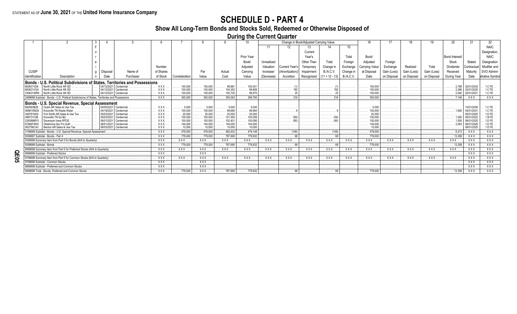## **SCHEDULE D - PART 4**

### **Show All Long-Term Bonds and Stocks Sold, Redeemed or Otherwise Disposed of**

**During the Current Quarter**

|                          |                                                                                  |            |            |                                |                                       |                         |                                              |                                           |              |                             | Change in Book/Adjusted Carrying Value |                              |                                |                        |                |              |              |                        |                          |                         |
|--------------------------|----------------------------------------------------------------------------------|------------|------------|--------------------------------|---------------------------------------|-------------------------|----------------------------------------------|-------------------------------------------|--------------|-----------------------------|----------------------------------------|------------------------------|--------------------------------|------------------------|----------------|--------------|--------------|------------------------|--------------------------|-------------------------|
|                          |                                                                                  |            |            |                                |                                       |                         |                                              |                                           |              |                             |                                        |                              | 15                             |                        |                |              |              |                        |                          |                         |
|                          |                                                                                  |            |            |                                |                                       |                         |                                              |                                           |              |                             | Current                                |                              |                                |                        |                |              |              |                        |                          | Designation.            |
|                          |                                                                                  |            |            |                                |                                       |                         |                                              | Prior Year                                |              |                             | Year's                                 |                              | Total                          | Book/                  |                |              |              | <b>Bond Interest</b>   |                          | <b>NAIC</b>             |
|                          |                                                                                  |            |            |                                |                                       |                         |                                              | Book/                                     | Unrealized   |                             | Other Than                             | Total                        | Foreian                        | Adiusted               | Foreian        |              |              | Stock                  | Stated                   | Designation             |
|                          |                                                                                  |            |            | Number                         |                                       |                         |                                              | Adiusted                                  | Valuation    | :urrent Year                | Temporarv                              | Change in                    | Exchange                       | Carrving Value         | Exchange       | Realized     | Total        | <b>Dividends</b>       | Contractua               | Modifier and            |
| <b>CUSIP</b>             |                                                                                  | Disposal   | Name of    | of Shares                      |                                       | Par                     | Actual                                       | Carrying                                  | Increase/    | Amortization                | Impairment                             | <b>B./A.C.V.</b>             | Change in                      | at Disposal            | Gain (Loss)    | Gain (Loss)  | Gain (Loss)  | Received               | Maturity                 | SVO Admini-             |
| I Identification         | Description                                                                      | Date       | Purchaser  | of Stock                       | I Consideration                       | Value                   | Cost                                         | Value                                     |              | Accretion                   |                                        | $(11 + 12 - 13)$             | B.A.C.V.                       | Date                   | on Disposal    | on Disposal  |              |                        | Date                     | <b>Istrative Symbol</b> |
|                          |                                                                                  |            |            |                                |                                       |                         |                                              |                                           | (Decrease)   |                             | Recognized                             |                              |                                |                        |                |              | on Disposal  | During Year            |                          |                         |
|                          | Bonds - U.S. Political Subdivisions of States, Territories and Possessions       |            |            |                                |                                       |                         |                                              |                                           |              |                             |                                        |                              |                                |                        |                |              |              |                        |                          |                         |
| 660631VS8                | North Little Rock AR SD                                                          | 04/12/2021 |            | XXX.                           | $\ldots$ . 100,000                    | 100,000<br>.            | $\ldots \ldots 99,981$                       | $\ldots \ldots 100,001$                   | .            | .                           | .                                      | . 11                         |                                |                        |                | .            |              |                        | 02/01/2035               |                         |
| 660631VG4<br>330631WR9   | North Little Rock AR SD<br>North Little Rock AR SD                               |            | Centennial | $\ldots$ XXX                   | $\ldots$ 100,000<br>$\ldots$ .100,000 | 100,000<br>100,000      | $\ldots$ 104.352<br>100.730                  | $\ldots$ 99.808<br>$\ldots \ldots 99.975$ |              |                             | .                                      | . 25                         |                                |                        |                | .            |              | 2.266<br>2.092         | 02/01/2025<br>02/01/2031 | $1.CFE$ .<br>$1.CFE$    |
|                          | <b>Bonds - U.S. Political Subdivisions of States Territories and Possessions</b> |            |            | . . XXX                        | 300,000                               | $\ldots \ldots 300.000$ | .305.063<br>.                                | $\ldots$ . 299.784                        | .            | $\ldots$ 216                | .                                      | 216<br>.                     | .                              | 300,000<br>.           | .              | .            | .            | . 7.146                | . XXX .                  | XXX                     |
|                          |                                                                                  |            |            |                                |                                       |                         |                                              |                                           |              |                             |                                        |                              |                                |                        |                |              |              |                        |                          |                         |
|                          | Bonds - U.S. Special Revenue, Special Assessment<br>Ozark AR Sales & Use Tax     |            |            | <b>XXX</b>                     | $\ldots 5.000$                        | 5,000                   | .5.000                                       |                                           |              |                             |                                        |                              |                                |                        |                |              |              |                        | 10/01/2036               | $1.CFE$ .               |
| 499815NG9                | Knoxville TN Waste Water                                                         | 04/19/2021 | Centennia  |                                | $\ldots$ .100,000                     | 100,000                 | $\ldots \ldots 99,680$                       | $\ldots \ldots 99.994$                    | .<br>.       | .                           | .                                      | .                            | .                              | 100.000                |                |              |              | $\ldots \ldots 1.650$  | 04/01/2031               |                         |
| 348761DK0                | Fort Smith AR Sales & Use Tax                                                    | 05/03/2021 |            |                                | $\ldots$ . 20,000                     | $\ldots \ldots 20.000$  | $\ldots$ 20.000                              | $\ldots \ldots 20,000$                    | .            | .                           | .                                      | .                            | .                              | $\ldots \ldots 20,000$ |                | 1.           |              |                        | 05/01/2025               |                         |
| 499731C96                | Knoxville TN Go Bd                                                               |            |            |                                | 100,000                               | 100,000                 | 101.550                                      |                                           | .            | $\ldots \ldots \ldots$ (59) | .                                      | $\ldots \ldots \ldots (59)$  |                                |                        |                |              |              |                        | 05/01/2022               |                         |
| 238388MY5                | Davennort Iowa REDG                                                              | 06/01/2021 |            |                                | 100.000                               | 100.000                 | 102.401                                      |                                           | .            |                             | . (95) $\vert$ $\vert$                 | $  \dots \dots \dots  $ (95) | .                              |                        |                | .            | .            |                        | 06/01/2025               |                         |
| 67884FSH0                | Oklahoma Dev Fin Auth                                                            |            |            | <b>XXX</b>                     | 144.000<br>1.1.1<br>$\ldots$ . 10,000 | 144.000<br>10.000       | $\ldots$ . 144.000<br>$\ldots \ldots 10.000$ |                                           | .            |                             |                                        | .                            | .                              |                        |                |              | .            | $\ldots$ 2.063         | 06/01/2026<br>06/01/2025 | $1.D FE$ .              |
|                          |                                                                                  |            |            |                                |                                       |                         |                                              |                                           |              |                             | .                                      | .                            | .                              |                        |                |              |              |                        |                          | $1.EFE$ .               |
|                          | 3199999 Subtotal - Bonds - U.S. Special Revenue, Special Assessment              |            |            | XXX                            | 479,000                               | 479,000                 | 482.632                                      | $1.111$ 479.148                           | .            | $\ldots \ldots$ (148)       | .                                      | $\ldots \ldots$ (148)        | .                              | 479.000<br>.           |                |              |              | 6.213                  | . XXX                    | $XXX$                   |
|                          |                                                                                  |            |            | XXX                            | $\ldots$ . 779,000                    | $\ldots$ . 779.000      | $\ldots$ . 787.695                           | $\ldots$ . 778.932                        |              | $\ldots \ldots \ldots 681$  | .                                      | . 68 .                       |                                | $\ldots$ . 779,000     |                |              |              | $\ldots \ldots$ 13,359 | . XXX                    | XXX                     |
|                          | 8399998 Summary Item from Part 5 for Bonds (N/A to Quarterly)                    |            |            | $\ldots$ XXX $\ldots$          | . XXX                                 | <b>XXX</b>              | XXX                                          | XXX                                       | XXX          | $\ldots$ XXX $\ldots$       | $\ldots$ XXX.                          | $\ldots$ XXX.                | $\mathbf{X} \times \mathbf{X}$ | . XXX                  | $\mathbf{XXX}$ | $\ldots$ XXX | $\ldots$ XXX | . XXX                  | . XXX                    | $XXX$                   |
| 8399999 Subtotal - Bonds |                                                                                  |            |            | <b>XXX</b>                     | $\ldots$ 779.000                      | $\ldots$ . 779.000      | $\ldots$ . 787.695                           | $\ldots$ . 778.932                        | .            | $\ldots$ 68 $\overline{1}$  | .                                      | $\ldots \ldots \ldots 681$   | .                              | $\ldots$ 779.000       | .              |              | .            | $\ldots$ . 13,359      | XXX.                     | XXX                     |
|                          | 8999998 Summary Item from Part 5 for Preferred Stocks (N/A to Quarterly)         |            |            | XXX.                           | <b>XXX</b> .                          | XXX.                    | XXX .                                        | XXX                                       | $\ldots$ XXX | XXX.                        | <b>XXX</b>                             | $\ldots$ XXX.                | . XXX                          | $\ldots$ XXX           | <b>XXX</b>     | $\ldots$ XXX | XXX          | . XXX.                 | . XXX                    | XXX                     |
|                          |                                                                                  |            |            | XXX.                           | .                                     | <b>XXX</b>              | .                                            | .                                         | .            | .                           | .                                      | .                            | .                              |                        | .              | .            | .            | .                      | . XXX                    | XXX                     |
|                          | 9799998 Summary Item from Part 5 for Common Stocks (N/A to Quarterly)            |            |            | <b>XXX</b>                     | $\mathbf{XXX}$ .                      | XXX                     | . XXX .                                      | $\ldots$ XXX.                             | <b>XXX</b>   | XXX.                        | XXX.                                   | $\ldots$ XXX                 | . . X X X                      | . XXX                  | . XXX          | $\ldots$ XXX | XXX          | . XXX                  | . XXX                    | $XXX$                   |
|                          | 9799999 Subtotal - Common Stocks                                                 |            |            | $\mathbf{X} \times \mathbf{X}$ |                                       | XXX                     |                                              |                                           |              |                             |                                        |                              |                                |                        |                |              |              |                        | XXX.                     | $XXX$                   |
|                          | 9899999 Subtotal - Preferred and Common Stocks                                   |            |            | $\mathbf{XXX}$                 |                                       | $\overline{XXX}$        |                                              |                                           |              |                             |                                        |                              |                                |                        |                |              |              |                        | XXX.                     | $XXX$                   |
|                          |                                                                                  |            |            | . XXX                          | $\ldots$ . 779,000                    | XXX                     | $\ldots \ldots 787,695$                      | . 778,932                                 |              |                             |                                        |                              |                                |                        | .              | .            |              | $\ldots \ldots$ 13,359 | . XXX .                  | X X X                   |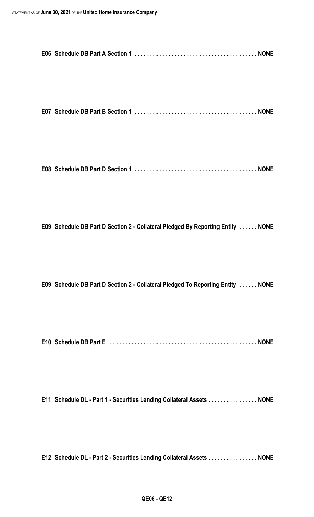|--|--|--|

**E07 Schedule DB Part B Section 1 . . . . . . . . . . . . . . . . . . . . . . . . . . . . . . . . . . . . . . . . NONE**

**E08 Schedule DB Part D Section 1 . . . . . . . . . . . . . . . . . . . . . . . . . . . . . . . . . . . . . . . . NONE**

**E09 Schedule DB Part D Section 2 - Collateral Pledged By Reporting Entity . . . . . . NONE**

**E09 Schedule DB Part D Section 2 - Collateral Pledged To Reporting Entity . . . . . . NONE**

**E10 Schedule DB Part E . . . . . . . . . . . . . . . . . . . . . . . . . . . . . . . . . . . . . . . . . . . . . . . . NONE**

**E11 Schedule DL - Part 1 - Securities Lending Collateral Assets . . . . . . . . . . . . . . . . NONE**

**E12 Schedule DL - Part 2 - Securities Lending Collateral Assets . . . . . . . . . . . . . . . . NONE**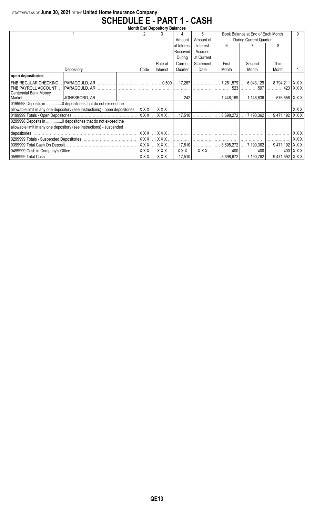### STATEMENT AS OF **June 30, 2021** OF THE **United Home Insurance Company SCHEDULE E - PART 1 - CASH**

| <b>Month End Depository Balances</b>                                                                                             |             |          |                            |            |                        |                                                                                                |                            |                           |  |  |
|----------------------------------------------------------------------------------------------------------------------------------|-------------|----------|----------------------------|------------|------------------------|------------------------------------------------------------------------------------------------|----------------------------|---------------------------|--|--|
|                                                                                                                                  |             |          | 4                          | 5          |                        | Book Balance at End of Each Month                                                              |                            | q                         |  |  |
|                                                                                                                                  |             |          | Amount                     | Amount of  | During Current Quarter |                                                                                                |                            |                           |  |  |
|                                                                                                                                  |             |          | of Interest                | Interest   | 6                      |                                                                                                | 8                          |                           |  |  |
|                                                                                                                                  |             |          | Received                   | Accrued    |                        |                                                                                                |                            |                           |  |  |
|                                                                                                                                  |             |          | During                     | at Current |                        |                                                                                                |                            |                           |  |  |
|                                                                                                                                  |             | Rate of  | Current                    | Statement  | First                  | Second                                                                                         | Third                      |                           |  |  |
| Depository                                                                                                                       | Code        | Interest | Quarter                    | Date       | Month                  | Month                                                                                          | Month                      |                           |  |  |
| open depositories                                                                                                                |             |          |                            |            |                        |                                                                                                |                            |                           |  |  |
| FNB REGULAR CHECKING<br>│PARAGOULD, AR …………… │…………… │……… │……… 0.500│… 17,267│…………… │… 7,251,579│…. 6,043,129│…. 8,794,211│X X X│ |             |          |                            |            |                        |                                                                                                |                            |                           |  |  |
| FNB PAYROLL ACCOUNT                                                                                                              |             |          |                            |            | 523                    | 597<br>.                                                                                       |                            | $423$ $\mid$ X X X $\mid$ |  |  |
| Centennial Bank Money                                                                                                            |             |          |                            |            |                        |                                                                                                |                            |                           |  |  |
|                                                                                                                                  |             |          |                            |            |                        | $1,446,169$ $1,146,636$ 676,558   X X X                                                        |                            |                           |  |  |
| 0199998 Deposits in 0 depositories that do not exceed the                                                                        |             |          |                            |            |                        |                                                                                                |                            |                           |  |  |
| allowable limit in any one depository (see Instructions) - open depositories.                                                    |             |          |                            |            |                        |                                                                                                |                            | XXX                       |  |  |
|                                                                                                                                  | $X$ $X$ $X$ | XXX      |                            |            |                        | $\dots$ 17,510 $ \dots$ 8,698,272 $ \dots$ 7,190,362 $ \dots$ 9,471,192 $ \times$ X X $ \dots$ |                            |                           |  |  |
| 0299998 Deposits in 0 depositories that do not exceed the                                                                        |             |          |                            |            |                        |                                                                                                |                            |                           |  |  |
| allowable limit in any one depository (see Instructions) - suspended                                                             |             |          |                            |            |                        |                                                                                                |                            |                           |  |  |
|                                                                                                                                  | XXX         | XXX      |                            |            |                        |                                                                                                |                            | XXX                       |  |  |
|                                                                                                                                  | XXX         | XXX.     |                            |            |                        |                                                                                                |                            | XXX                       |  |  |
|                                                                                                                                  | XXX         | XXX.     | 17,510                     | .          |                        | $8,698,272$ 7,190,362                                                                          | $\ldots$ 9,471,192   X X X |                           |  |  |
|                                                                                                                                  | <b>XXX</b>  | XXX.     | XXX.                       | XXX.       |                        |                                                                                                | 400                        | XXX                       |  |  |
|                                                                                                                                  | XXX         | XXX.     | $\dots$ 17,510 $\parallel$ | .          | 1.                     | $8,698,672$ 7,190,762  9,471,592   X X X                                                       |                            |                           |  |  |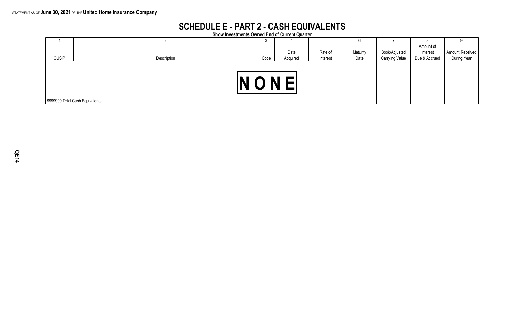## **SCHEDULE E - PART 2 - CASH EQUIVALENTS**

**Show Investments Owned End of Current Quarter**

|              |                                 | ر.   |          |          |          |                |               |                 |  |  |  |
|--------------|---------------------------------|------|----------|----------|----------|----------------|---------------|-----------------|--|--|--|
|              |                                 |      |          |          |          |                | Amount of     |                 |  |  |  |
|              |                                 |      | Date     | Rate of  | Maturity | Book/Adjusted  | Interest      | Amount Received |  |  |  |
| <b>CUSIP</b> | Description                     | Code | Acquired | Interest | Date     | Carrying Value | Due & Accrued | During Year     |  |  |  |
|              |                                 |      |          |          |          |                |               |                 |  |  |  |
|              |                                 |      |          |          |          |                |               |                 |  |  |  |
|              |                                 |      |          |          |          |                |               |                 |  |  |  |
|              |                                 |      |          |          |          |                |               |                 |  |  |  |
|              | 9999999 Total Cash Equivalents. |      |          |          |          |                |               |                 |  |  |  |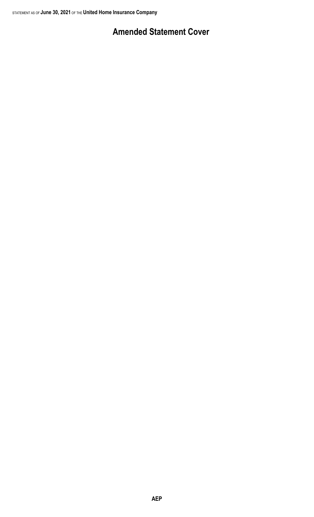## **Amended Statement Cover**